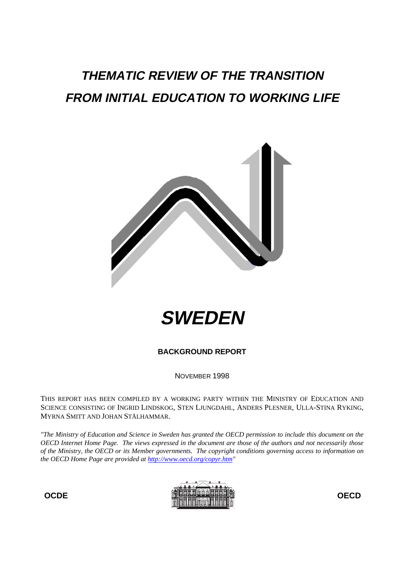# **THEMATIC REVIEW OF THE TRANSITION FROM INITIAL EDUCATION TO WORKING LIFE**





**BACKGROUND REPORT**

NOVEMBER 1998

THIS REPORT HAS BEEN COMPILED BY A WORKING PARTY WITHIN THE MINISTRY OF EDUCATION AND SCIENCE CONSISTING OF INGRID LINDSKOG, STEN LJUNGDAHL, ANDERS PLESNER, ULLA-STINA RYKING, MYRNA SMITT AND JOHAN STÅLHAMMAR.

*"The Ministry of Education and Science in Sweden has granted the OECD permission to include this document on the OECD Internet Home Page. The views expressed in the document are those of the authors and not necessarily those of the Ministry, the OECD or its Member governments. The copyright conditions governing access to information on the OECD Home Page are provided at http://www.oecd.org/copyr.htm"*

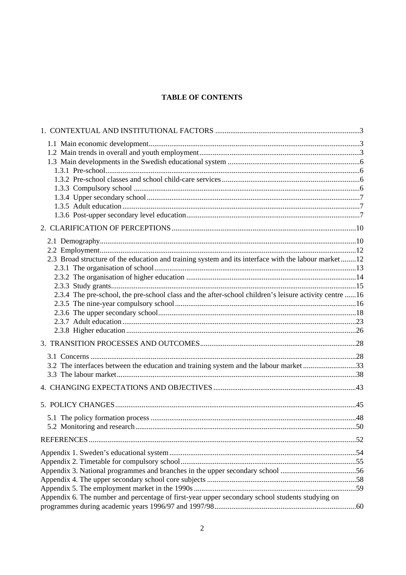#### **TABLE OF CONTENTS**

| 2.3 Broad structure of the education and training system and its interface with the labour market 12  |  |
|-------------------------------------------------------------------------------------------------------|--|
|                                                                                                       |  |
|                                                                                                       |  |
|                                                                                                       |  |
| 2.3.4 The pre-school, the pre-school class and the after-school children's leisure activity centre 16 |  |
|                                                                                                       |  |
|                                                                                                       |  |
|                                                                                                       |  |
|                                                                                                       |  |
|                                                                                                       |  |
|                                                                                                       |  |
| 3.2 The interfaces between the education and training system and the labour market 33                 |  |
|                                                                                                       |  |
|                                                                                                       |  |
|                                                                                                       |  |
|                                                                                                       |  |
|                                                                                                       |  |
|                                                                                                       |  |
|                                                                                                       |  |
|                                                                                                       |  |
|                                                                                                       |  |
| Appendix 3. National programmes and branches in the upper secondary school 56                         |  |
|                                                                                                       |  |
|                                                                                                       |  |
| Appendix 6. The number and percentage of first-year upper secondary school students studying on       |  |
|                                                                                                       |  |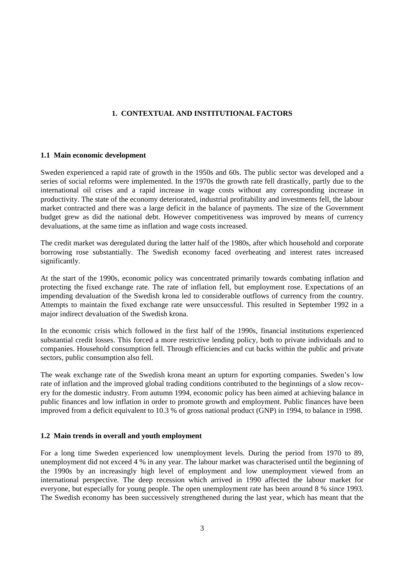#### **1. CONTEXTUAL AND INSTITUTIONAL FACTORS**

#### **1.1 Main economic development**

Sweden experienced a rapid rate of growth in the 1950s and 60s. The public sector was developed and a series of social reforms were implemented. In the 1970s the growth rate fell drastically, partly due to the international oil crises and a rapid increase in wage costs without any corresponding increase in productivity. The state of the economy deteriorated, industrial profitability and investments fell, the labour market contracted and there was a large deficit in the balance of payments. The size of the Government budget grew as did the national debt. However competitiveness was improved by means of currency devaluations, at the same time as inflation and wage costs increased.

The credit market was deregulated during the latter half of the 1980s, after which household and corporate borrowing rose substantially. The Swedish economy faced overheating and interest rates increased significantly.

At the start of the 1990s, economic policy was concentrated primarily towards combating inflation and protecting the fixed exchange rate. The rate of inflation fell, but employment rose. Expectations of an impending devaluation of the Swedish krona led to considerable outflows of currency from the country. Attempts to maintain the fixed exchange rate were unsuccessful. This resulted in September 1992 in a major indirect devaluation of the Swedish krona.

In the economic crisis which followed in the first half of the 1990s, financial institutions experienced substantial credit losses. This forced a more restrictive lending policy, both to private individuals and to companies. Household consumption fell. Through efficiencies and cut backs within the public and private sectors, public consumption also fell.

The weak exchange rate of the Swedish krona meant an upturn for exporting companies. Sweden's low rate of inflation and the improved global trading conditions contributed to the beginnings of a slow recovery for the domestic industry. From autumn 1994, economic policy has been aimed at achieving balance in public finances and low inflation in order to promote growth and employment. Public finances have been improved from a deficit equivalent to 10.3 % of gross national product (GNP) in 1994, to balance in 1998.

#### **1.2 Main trends in overall and youth employment**

For a long time Sweden experienced low unemployment levels. During the period from 1970 to 89, unemployment did not exceed 4 % in any year. The labour market was characterised until the beginning of the 1990s by an increasingly high level of employment and low unemployment viewed from an international perspective. The deep recession which arrived in 1990 affected the labour market for everyone, but especially for young people. The open unemployment rate has been around 8 % since 1993. The Swedish economy has been successively strengthened during the last year, which has meant that the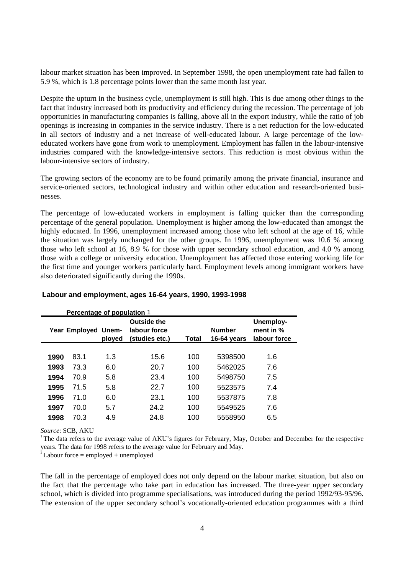labour market situation has been improved. In September 1998, the open unemployment rate had fallen to 5.9 %, which is 1.8 percentage points lower than the same month last year.

Despite the upturn in the business cycle, unemployment is still high. This is due among other things to the fact that industry increased both its productivity and efficiency during the recession. The percentage of job opportunities in manufacturing companies is falling, above all in the export industry, while the ratio of job openings is increasing in companies in the service industry. There is a net reduction for the low-educated in all sectors of industry and a net increase of well-educated labour. A large percentage of the loweducated workers have gone from work to unemployment. Employment has fallen in the labour-intensive industries compared with the knowledge-intensive sectors. This reduction is most obvious within the labour-intensive sectors of industry.

The growing sectors of the economy are to be found primarily among the private financial, insurance and service-oriented sectors, technological industry and within other education and research-oriented businesses.

The percentage of low-educated workers in employment is falling quicker than the corresponding percentage of the general population. Unemployment is higher among the low-educated than amongst the highly educated. In 1996, unemployment increased among those who left school at the age of 16, while the situation was largely unchanged for the other groups. In 1996, unemployment was 10.6 % among those who left school at 16, 8.9 % for those with upper secondary school education, and 4.0 % among those with a college or university education. Unemployment has affected those entering working life for the first time and younger workers particularly hard. Employment levels among immigrant workers have also deteriorated significantly during the 1990s.

|      | Percentage of population 1 |        |                                               |       |                              |                                        |
|------|----------------------------|--------|-----------------------------------------------|-------|------------------------------|----------------------------------------|
|      | Year Employed Unem-        | ployed | Outside the<br>labour force<br>(studies etc.) | Total | <b>Number</b><br>16-64 years | Unemploy-<br>ment in %<br>labour force |
|      |                            |        |                                               |       |                              |                                        |
| 1990 | 83.1                       | 1.3    | 15.6                                          | 100   | 5398500                      | 1.6                                    |
| 1993 | 73.3                       | 6.0    | 20.7                                          | 100   | 5462025                      | 7.6                                    |
| 1994 | 70.9                       | 5.8    | 23.4                                          | 100   | 5498750                      | 7.5                                    |
| 1995 | 71.5                       | 5.8    | 22.7                                          | 100   | 5523575                      | 7.4                                    |
| 1996 | 71.0                       | 6.0    | 23.1                                          | 100   | 5537875                      | 7.8                                    |
| 1997 | 70.0                       | 5.7    | 24.2                                          | 100   | 5549525                      | 7.6                                    |
| 1998 | 70.3                       | 4.9    | 24.8                                          | 100   | 5558950                      | 6.5                                    |

#### **Labour and employment, ages 16-64 years, 1990, 1993-1998**

*Source*: SCB, AKU

<sup>1</sup>The data refers to the average value of AKU's figures for February, May, October and December for the respective years. The data for 1998 refers to the average value for February and May.

 $\mu^2$ Labour force = employed + unemployed

The fall in the percentage of employed does not only depend on the labour market situation, but also on the fact that the percentage who take part in education has increased. The three-year upper secondary school, which is divided into programme specialisations, was introduced during the period 1992/93-95/96. The extension of the upper secondary school's vocationally-oriented education programmes with a third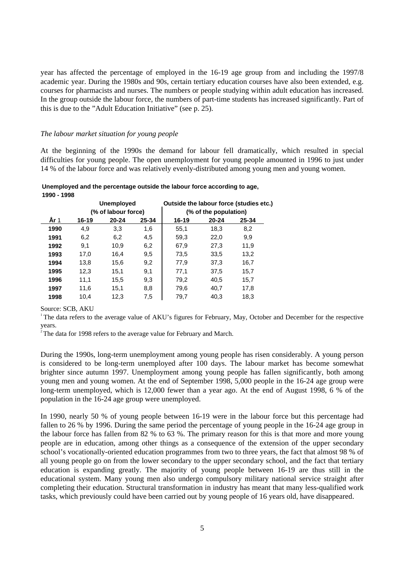year has affected the percentage of employed in the 16-19 age group from and including the 1997/8 academic year. During the 1980s and 90s, certain tertiary education courses have also been extended, e.g. courses for pharmacists and nurses. The numbers or people studying within adult education has increased. In the group outside the labour force, the numbers of part-time students has increased significantly. Part of this is due to the "Adult Education Initiative" (see p. 25).

#### *The labour market situation for young people*

At the beginning of the 1990s the demand for labour fell dramatically, which resulted in special difficulties for young people. The open unemployment for young people amounted in 1996 to just under 14 % of the labour force and was relatively evenly-distributed among young men and young women.

**Unemployed and the percentage outside the labour force according to age, 1990 - 1998**

|      |       | <b>Unemployed</b>   |       | Outside the labour force (studies etc.) |                       |       |  |  |
|------|-------|---------------------|-------|-----------------------------------------|-----------------------|-------|--|--|
|      |       | (% of labour force) |       |                                         | (% of the population) |       |  |  |
| År 1 | 16-19 | 20-24               | 25-34 | $16 - 19$                               | 20-24                 | 25-34 |  |  |
| 1990 | 4,9   | 3,3                 | 1,6   | 55,1                                    | 18,3                  | 8,2   |  |  |
| 1991 | 6,2   | 6,2                 | 4,5   | 59,3                                    | 22,0                  | 9,9   |  |  |
| 1992 | 9,1   | 10.9                | 6,2   | 67,9                                    | 27,3                  | 11,9  |  |  |
| 1993 | 17,0  | 16,4                | 9,5   | 73,5                                    | 33,5                  | 13,2  |  |  |
| 1994 | 13,8  | 15,6                | 9,2   | 77,9                                    | 37,3                  | 16,7  |  |  |
| 1995 | 12,3  | 15,1                | 9,1   | 77,1                                    | 37,5                  | 15,7  |  |  |
| 1996 | 11,1  | 15,5                | 9,3   | 79,2                                    | 40.5                  | 15,7  |  |  |
| 1997 | 11,6  | 15,1                | 8,8   | 79,6                                    | 40,7                  | 17,8  |  |  |
| 1998 | 10.4  | 12.3                | 7,5   | 79.7                                    | 40.3                  | 18,3  |  |  |

Source: SCB, AKU

<sup>1</sup>The data refers to the average value of AKU's figures for February, May, October and December for the respective years.

<sup>2</sup> The data for 1998 refers to the average value for February and March.

During the 1990s, long-term unemployment among young people has risen considerably. A young person is considered to be long-term unemployed after 100 days. The labour market has become somewhat brighter since autumn 1997. Unemployment among young people has fallen significantly, both among young men and young women. At the end of September 1998, 5,000 people in the 16-24 age group were long-term unemployed, which is 12,000 fewer than a year ago. At the end of August 1998, 6 % of the population in the 16-24 age group were unemployed.

In 1990, nearly 50 % of young people between 16-19 were in the labour force but this percentage had fallen to 26 % by 1996. During the same period the percentage of young people in the 16-24 age group in the labour force has fallen from 82 % to 63 %. The primary reason for this is that more and more young people are in education, among other things as a consequence of the extension of the upper secondary school's vocationally-oriented education programmes from two to three years, the fact that almost 98 % of all young people go on from the lower secondary to the upper secondary school, and the fact that tertiary education is expanding greatly. The majority of young people between 16-19 are thus still in the educational system. Many young men also undergo compulsory military national service straight after completing their education. Structural transformation in industry has meant that many less-qualified work tasks, which previously could have been carried out by young people of 16 years old, have disappeared.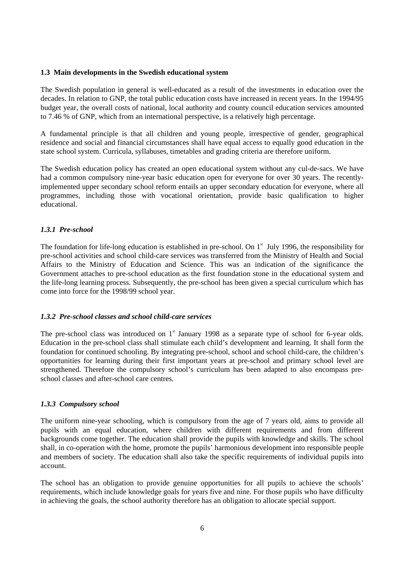#### **1.3 Main developments in the Swedish educational system**

The Swedish population in general is well-educated as a result of the investments in education over the decades. In relation to GNP, the total public education costs have increased in recent years. In the 1994/95 budget year, the overall costs of national, local authority and county council education services amounted to 7.46 % of GNP, which from an international perspective, is a relatively high percentage.

A fundamental principle is that all children and young people, irrespective of gender, geographical residence and social and financial circumstances shall have equal access to equally good education in the state school system. Curricula, syllabuses, timetables and grading criteria are therefore uniform.

The Swedish education policy has created an open educational system without any cul-de-sacs. We have had a common compulsory nine-year basic education open for everyone for over 30 years. The recentlyimplemented upper secondary school reform entails an upper secondary education for everyone, where all programmes, including those with vocational orientation, provide basic qualification to higher educational.

#### *1.3.1 Pre-school*

The foundation for life-long education is established in pre-school. On  $1<sup>st</sup>$  July 1996, the responsibility for pre-school activities and school child-care services was transferred from the Ministry of Health and Social Affairs to the Ministry of Education and Science. This was an indication of the significance the Government attaches to pre-school education as the first foundation stone in the educational system and the life-long learning process. Subsequently, the pre-school has been given a special curriculum which has come into force for the 1998/99 school year.

#### *1.3.2 Pre-school classes and school child-care services*

The pre-school class was introduced on  $1<sup>st</sup>$  January 1998 as a separate type of school for 6-year olds. Education in the pre-school class shall stimulate each child's development and learning. It shall form the foundation for continued schooling. By integrating pre-school, school and school child-care, the children's opportunities for learning during their first important years at pre-school and primary school level are strengthened. Therefore the compulsory school's curriculum has been adapted to also encompass preschool classes and after-school care centres.

#### *1.3.3 Compulsory school*

The uniform nine-year schooling, which is compulsory from the age of 7 years old, aims to provide all pupils with an equal education, where children with different requirements and from different backgrounds come together. The education shall provide the pupils with knowledge and skills. The school shall, in co-operation with the home, promote the pupils' harmonious development into responsible people and members of society. The education shall also take the specific requirements of individual pupils into account.

The school has an obligation to provide genuine opportunities for all pupils to achieve the schools' requirements, which include knowledge goals for years five and nine. For those pupils who have difficulty in achieving the goals, the school authority therefore has an obligation to allocate special support.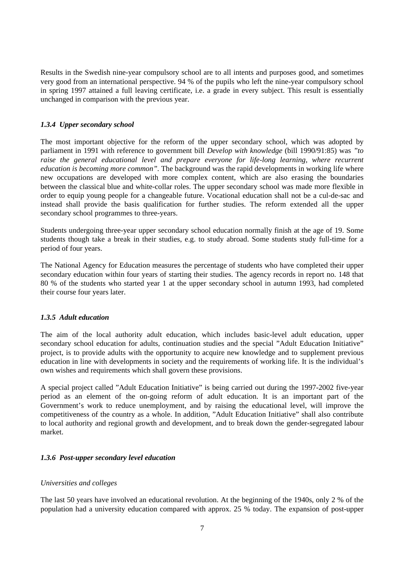Results in the Swedish nine-year compulsory school are to all intents and purposes good, and sometimes very good from an international perspective. 94 % of the pupils who left the nine-year compulsory school in spring 1997 attained a full leaving certificate, i.e. a grade in every subject. This result is essentially unchanged in comparison with the previous year.

#### *1.3.4 Upper secondary school*

The most important objective for the reform of the upper secondary school, which was adopted by parliament in 1991 with reference to government bill *Develop with knowledge* (bill 1990/91:85) was *"to raise the general educational level and prepare everyone for life-long learning, where recurrent education is becoming more common".* The background was the rapid developments in working life where new occupations are developed with more complex content, which are also erasing the boundaries between the classical blue and white-collar roles. The upper secondary school was made more flexible in order to equip young people for a changeable future. Vocational education shall not be a cul-de-sac and instead shall provide the basis qualification for further studies. The reform extended all the upper secondary school programmes to three-years.

Students undergoing three-year upper secondary school education normally finish at the age of 19. Some students though take a break in their studies, e.g. to study abroad. Some students study full-time for a period of four years.

The National Agency for Education measures the percentage of students who have completed their upper secondary education within four years of starting their studies. The agency records in report no. 148 that 80 % of the students who started year 1 at the upper secondary school in autumn 1993, had completed their course four years later.

#### *1.3.5 Adult education*

The aim of the local authority adult education, which includes basic-level adult education, upper secondary school education for adults, continuation studies and the special "Adult Education Initiative" project, is to provide adults with the opportunity to acquire new knowledge and to supplement previous education in line with developments in society and the requirements of working life. It is the individual's own wishes and requirements which shall govern these provisions.

A special project called "Adult Education Initiative" is being carried out during the 1997-2002 five-year period as an element of the on-going reform of adult education. It is an important part of the Government's work to reduce unemployment, and by raising the educational level, will improve the competitiveness of the country as a whole. In addition, "Adult Education Initiative" shall also contribute to local authority and regional growth and development, and to break down the gender-segregated labour market.

#### *1.3.6 Post-upper secondary level education*

#### *Universities and colleges*

The last 50 years have involved an educational revolution. At the beginning of the 1940s, only 2 % of the population had a university education compared with approx. 25 % today. The expansion of post-upper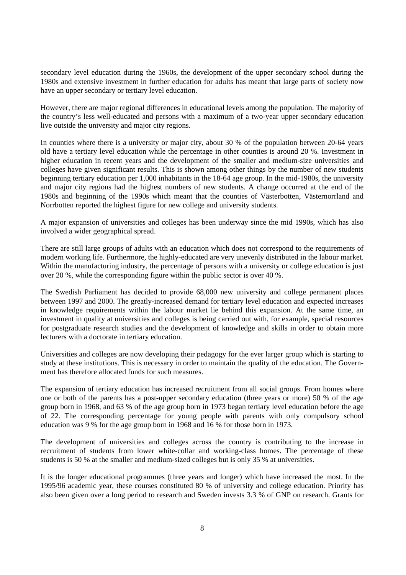secondary level education during the 1960s, the development of the upper secondary school during the 1980s and extensive investment in further education for adults has meant that large parts of society now have an upper secondary or tertiary level education.

However, there are major regional differences in educational levels among the population. The majority of the country's less well-educated and persons with a maximum of a two-year upper secondary education live outside the university and major city regions.

In counties where there is a university or major city, about 30 % of the population between 20-64 years old have a tertiary level education while the percentage in other counties is around 20 %. Investment in higher education in recent years and the development of the smaller and medium-size universities and colleges have given significant results. This is shown among other things by the number of new students beginning tertiary education per 1,000 inhabitants in the 18-64 age group. In the mid-1980s, the university and major city regions had the highest numbers of new students. A change occurred at the end of the 1980s and beginning of the 1990s which meant that the counties of Västerbotten, Västernorrland and Norrbotten reported the highest figure for new college and university students.

A major expansion of universities and colleges has been underway since the mid 1990s, which has also involved a wider geographical spread.

There are still large groups of adults with an education which does not correspond to the requirements of modern working life. Furthermore, the highly-educated are very unevenly distributed in the labour market. Within the manufacturing industry, the percentage of persons with a university or college education is just over 20 %, while the corresponding figure within the public sector is over 40 %.

The Swedish Parliament has decided to provide 68,000 new university and college permanent places between 1997 and 2000. The greatly-increased demand for tertiary level education and expected increases in knowledge requirements within the labour market lie behind this expansion. At the same time, an investment in quality at universities and colleges is being carried out with, for example, special resources for postgraduate research studies and the development of knowledge and skills in order to obtain more lecturers with a doctorate in tertiary education.

Universities and colleges are now developing their pedagogy for the ever larger group which is starting to study at these institutions. This is necessary in order to maintain the quality of the education. The Government has therefore allocated funds for such measures.

The expansion of tertiary education has increased recruitment from all social groups. From homes where one or both of the parents has a post-upper secondary education (three years or more) 50 % of the age group born in 1968, and 63 % of the age group born in 1973 began tertiary level education before the age of 22. The corresponding percentage for young people with parents with only compulsory school education was 9 % for the age group born in 1968 and 16 % for those born in 1973.

The development of universities and colleges across the country is contributing to the increase in recruitment of students from lower white-collar and working-class homes. The percentage of these students is 50 % at the smaller and medium-sized colleges but is only 35 % at universities.

It is the longer educational programmes (three years and longer) which have increased the most. In the 1995/96 academic year, these courses constituted 80 % of university and college education. Priority has also been given over a long period to research and Sweden invests 3.3 % of GNP on research. Grants for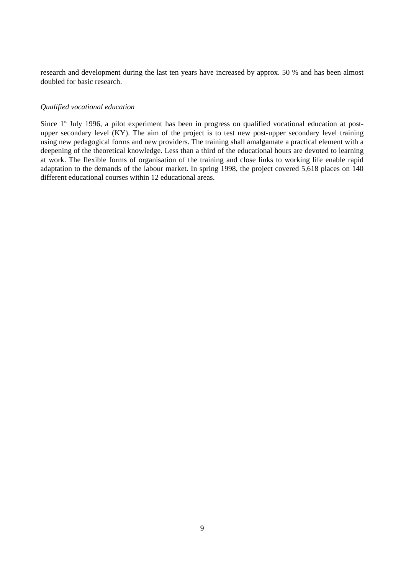research and development during the last ten years have increased by approx. 50 % and has been almost doubled for basic research.

#### *Qualified vocational education*

Since  $1<sup>st</sup>$  July 1996, a pilot experiment has been in progress on qualified vocational education at postupper secondary level (KY). The aim of the project is to test new post-upper secondary level training using new pedagogical forms and new providers. The training shall amalgamate a practical element with a deepening of the theoretical knowledge. Less than a third of the educational hours are devoted to learning at work. The flexible forms of organisation of the training and close links to working life enable rapid adaptation to the demands of the labour market. In spring 1998, the project covered 5,618 places on 140 different educational courses within 12 educational areas.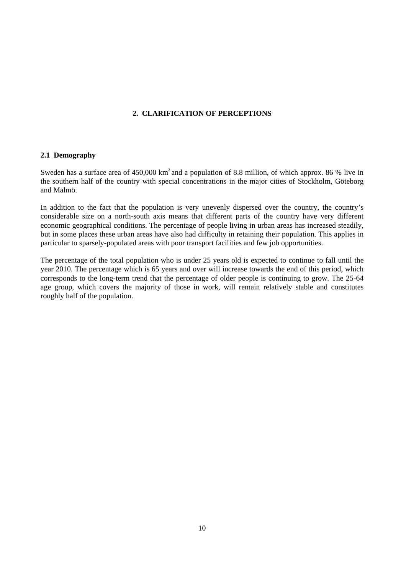#### **2. CLARIFICATION OF PERCEPTIONS**

#### **2.1 Demography**

Sweden has a surface area of  $450,000 \text{ km}^2$  and a population of 8.8 million, of which approx. 86 % live in the southern half of the country with special concentrations in the major cities of Stockholm, Göteborg and Malmö.

In addition to the fact that the population is very unevenly dispersed over the country, the country's considerable size on a north-south axis means that different parts of the country have very different economic geographical conditions. The percentage of people living in urban areas has increased steadily, but in some places these urban areas have also had difficulty in retaining their population. This applies in particular to sparsely-populated areas with poor transport facilities and few job opportunities.

The percentage of the total population who is under 25 years old is expected to continue to fall until the year 2010. The percentage which is 65 years and over will increase towards the end of this period, which corresponds to the long-term trend that the percentage of older people is continuing to grow. The 25-64 age group, which covers the majority of those in work, will remain relatively stable and constitutes roughly half of the population.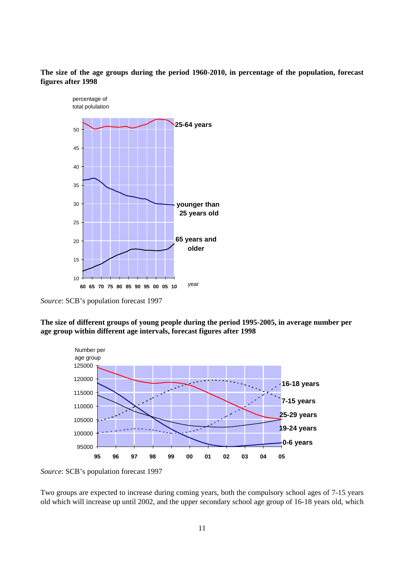**The size of the age groups during the period 1960-2010, in percentage of the population, forecast figures after 1998**



*Source*: SCB's population forecast 1997

**The size of different groups of young people during the period 1995-2005, in average number per age group within different age intervals, forecast figures after 1998**



*Source*: SCB's population forecast 1997

Two groups are expected to increase during coming years, both the compulsory school ages of 7-15 years old which will increase up until 2002, and the upper secondary school age group of 16-18 years old, which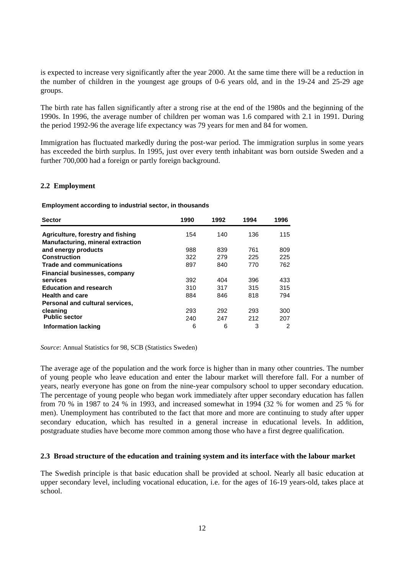is expected to increase very significantly after the year 2000. At the same time there will be a reduction in the number of children in the youngest age groups of 0-6 years old, and in the 19-24 and 25-29 age groups.

The birth rate has fallen significantly after a strong rise at the end of the 1980s and the beginning of the 1990s. In 1996, the average number of children per woman was 1.6 compared with 2.1 in 1991. During the period 1992-96 the average life expectancy was 79 years for men and 84 for women.

Immigration has fluctuated markedly during the post-war period. The immigration surplus in some years has exceeded the birth surplus. In 1995, just over every tenth inhabitant was born outside Sweden and a further 700,000 had a foreign or partly foreign background.

#### **2.2 Employment**

**Employment according to industrial sector, in thousands**

| <b>Sector</b>                            | 1990 | 1992 | 1994 | 1996 |
|------------------------------------------|------|------|------|------|
| Agriculture, forestry and fishing        | 154  | 140  | 136  | 115  |
| <b>Manufacturing, mineral extraction</b> |      |      |      |      |
| and energy products                      | 988  | 839  | 761  | 809  |
| Construction                             | 322  | 279  | 225  | 225  |
| <b>Trade and communications</b>          | 897  | 840  | 770  | 762  |
| Financial businesses, company            |      |      |      |      |
| services                                 | 392  | 404  | 396  | 433  |
| <b>Education and research</b>            | 310  | 317  | 315  | 315  |
| <b>Health and care</b>                   | 884  | 846  | 818  | 794  |
| Personal and cultural services.          |      |      |      |      |
| cleaning                                 | 293  | 292  | 293  | 300  |
| <b>Public sector</b>                     | 240  | 247  | 212  | 207  |
| <b>Information lacking</b>               | 6    | 6    | 3    | 2    |

*Source*: Annual Statistics for 98, SCB (Statistics Sweden)

The average age of the population and the work force is higher than in many other countries. The number of young people who leave education and enter the labour market will therefore fall. For a number of years, nearly everyone has gone on from the nine-year compulsory school to upper secondary education. The percentage of young people who began work immediately after upper secondary education has fallen from 70 % in 1987 to 24 % in 1993, and increased somewhat in 1994 (32 % for women and 25 % for men). Unemployment has contributed to the fact that more and more are continuing to study after upper secondary education, which has resulted in a general increase in educational levels. In addition, postgraduate studies have become more common among those who have a first degree qualification.

#### **2.3 Broad structure of the education and training system and its interface with the labour market**

The Swedish principle is that basic education shall be provided at school. Nearly all basic education at upper secondary level, including vocational education, i.e. for the ages of 16-19 years-old, takes place at school.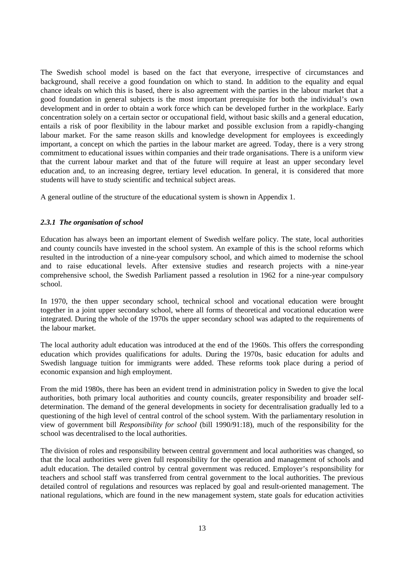The Swedish school model is based on the fact that everyone, irrespective of circumstances and background, shall receive a good foundation on which to stand. In addition to the equality and equal chance ideals on which this is based, there is also agreement with the parties in the labour market that a good foundation in general subjects is the most important prerequisite for both the individual's own development and in order to obtain a work force which can be developed further in the workplace. Early concentration solely on a certain sector or occupational field, without basic skills and a general education, entails a risk of poor flexibility in the labour market and possible exclusion from a rapidly-changing labour market. For the same reason skills and knowledge development for employees is exceedingly important, a concept on which the parties in the labour market are agreed. Today, there is a very strong commitment to educational issues within companies and their trade organisations. There is a uniform view that the current labour market and that of the future will require at least an upper secondary level education and, to an increasing degree, tertiary level education. In general, it is considered that more students will have to study scientific and technical subject areas.

A general outline of the structure of the educational system is shown in Appendix 1.

#### *2.3.1 The organisation of school*

Education has always been an important element of Swedish welfare policy. The state, local authorities and county councils have invested in the school system. An example of this is the school reforms which resulted in the introduction of a nine-year compulsory school, and which aimed to modernise the school and to raise educational levels. After extensive studies and research projects with a nine-year comprehensive school, the Swedish Parliament passed a resolution in 1962 for a nine-year compulsory school.

In 1970, the then upper secondary school, technical school and vocational education were brought together in a joint upper secondary school, where all forms of theoretical and vocational education were integrated. During the whole of the 1970s the upper secondary school was adapted to the requirements of the labour market.

The local authority adult education was introduced at the end of the 1960s. This offers the corresponding education which provides qualifications for adults. During the 1970s, basic education for adults and Swedish language tuition for immigrants were added. These reforms took place during a period of economic expansion and high employment.

From the mid 1980s, there has been an evident trend in administration policy in Sweden to give the local authorities, both primary local authorities and county councils, greater responsibility and broader selfdetermination. The demand of the general developments in society for decentralisation gradually led to a questioning of the high level of central control of the school system. With the parliamentary resolution in view of government bill *Responsibility for school* (bill 1990/91:18), much of the responsibility for the school was decentralised to the local authorities.

The division of roles and responsibility between central government and local authorities was changed, so that the local authorities were given full responsibility for the operation and management of schools and adult education. The detailed control by central government was reduced. Employer's responsibility for teachers and school staff was transferred from central government to the local authorities. The previous detailed control of regulations and resources was replaced by goal and result-oriented management. The national regulations, which are found in the new management system, state goals for education activities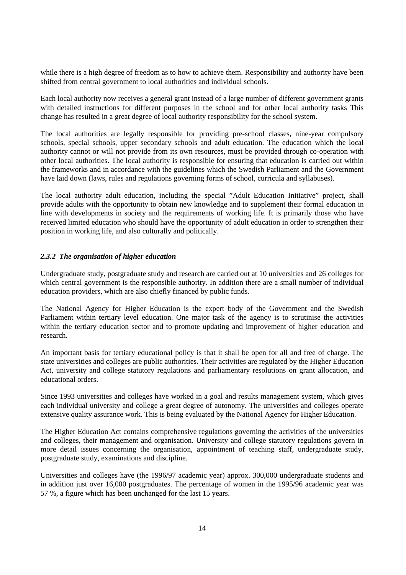while there is a high degree of freedom as to how to achieve them. Responsibility and authority have been shifted from central government to local authorities and individual schools.

Each local authority now receives a general grant instead of a large number of different government grants with detailed instructions for different purposes in the school and for other local authority tasks This change has resulted in a great degree of local authority responsibility for the school system.

The local authorities are legally responsible for providing pre-school classes, nine-year compulsory schools, special schools, upper secondary schools and adult education. The education which the local authority cannot or will not provide from its own resources, must be provided through co-operation with other local authorities. The local authority is responsible for ensuring that education is carried out within the frameworks and in accordance with the guidelines which the Swedish Parliament and the Government have laid down (laws, rules and regulations governing forms of school, curricula and syllabuses).

The local authority adult education, including the special "Adult Education Initiative" project, shall provide adults with the opportunity to obtain new knowledge and to supplement their formal education in line with developments in society and the requirements of working life. It is primarily those who have received limited education who should have the opportunity of adult education in order to strengthen their position in working life, and also culturally and politically.

#### *2.3.2 The organisation of higher education*

Undergraduate study, postgraduate study and research are carried out at 10 universities and 26 colleges for which central government is the responsible authority. In addition there are a small number of individual education providers, which are also chiefly financed by public funds.

The National Agency for Higher Education is the expert body of the Government and the Swedish Parliament within tertiary level education. One major task of the agency is to scrutinise the activities within the tertiary education sector and to promote updating and improvement of higher education and research.

An important basis for tertiary educational policy is that it shall be open for all and free of charge. The state universities and colleges are public authorities. Their activities are regulated by the Higher Education Act, university and college statutory regulations and parliamentary resolutions on grant allocation, and educational orders.

Since 1993 universities and colleges have worked in a goal and results management system, which gives each individual university and college a great degree of autonomy. The universities and colleges operate extensive quality assurance work. This is being evaluated by the National Agency for Higher Education.

The Higher Education Act contains comprehensive regulations governing the activities of the universities and colleges, their management and organisation. University and college statutory regulations govern in more detail issues concerning the organisation, appointment of teaching staff, undergraduate study, postgraduate study, examinations and discipline.

Universities and colleges have (the 1996/97 academic year) approx. 300,000 undergraduate students and in addition just over 16,000 postgraduates. The percentage of women in the 1995/96 academic year was 57 %, a figure which has been unchanged for the last 15 years.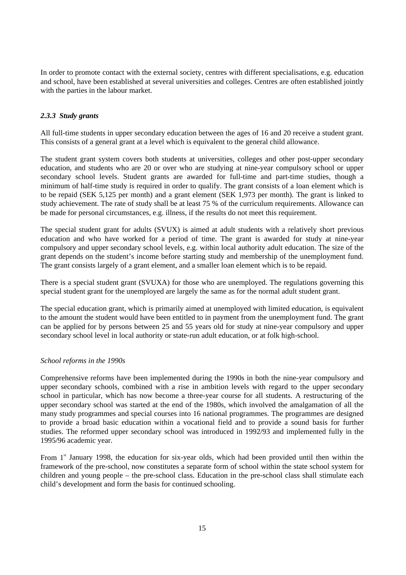In order to promote contact with the external society, centres with different specialisations, e.g. education and school, have been established at several universities and colleges. Centres are often established jointly with the parties in the labour market.

#### *2.3.3 Study grants*

All full-time students in upper secondary education between the ages of 16 and 20 receive a student grant. This consists of a general grant at a level which is equivalent to the general child allowance.

The student grant system covers both students at universities, colleges and other post-upper secondary education, and students who are 20 or over who are studying at nine-year compulsory school or upper secondary school levels. Student grants are awarded for full-time and part-time studies, though a minimum of half-time study is required in order to qualify. The grant consists of a loan element which is to be repaid (SEK 5,125 per month) and a grant element (SEK 1,973 per month). The grant is linked to study achievement. The rate of study shall be at least 75 % of the curriculum requirements. Allowance can be made for personal circumstances, e.g. illness, if the results do not meet this requirement.

The special student grant for adults (SVUX) is aimed at adult students with a relatively short previous education and who have worked for a period of time. The grant is awarded for study at nine-year compulsory and upper secondary school levels, e.g. within local authority adult education. The size of the grant depends on the student's income before starting study and membership of the unemployment fund. The grant consists largely of a grant element, and a smaller loan element which is to be repaid.

There is a special student grant (SVUXA) for those who are unemployed. The regulations governing this special student grant for the unemployed are largely the same as for the normal adult student grant.

The special education grant, which is primarily aimed at unemployed with limited education, is equivalent to the amount the student would have been entitled to in payment from the unemployment fund. The grant can be applied for by persons between 25 and 55 years old for study at nine-year compulsory and upper secondary school level in local authority or state-run adult education, or at folk high-school.

#### *School reforms in the 1990s*

Comprehensive reforms have been implemented during the 1990s in both the nine-year compulsory and upper secondary schools, combined with a rise in ambition levels with regard to the upper secondary school in particular, which has now become a three-year course for all students. A restructuring of the upper secondary school was started at the end of the 1980s, which involved the amalgamation of all the many study programmes and special courses into 16 national programmes. The programmes are designed to provide a broad basic education within a vocational field and to provide a sound basis for further studies. The reformed upper secondary school was introduced in 1992/93 and implemented fully in the 1995/96 academic year.

From  $1<sup>st</sup>$  January 1998, the education for six-year olds, which had been provided until then within the framework of the pre-school, now constitutes a separate form of school within the state school system for children and young people – the pre-school class. Education in the pre-school class shall stimulate each child's development and form the basis for continued schooling.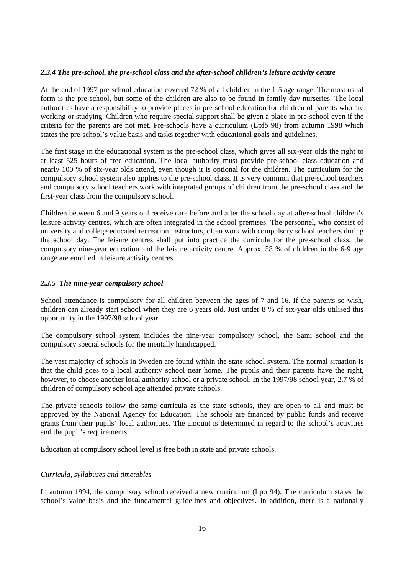#### *2.3.4 The pre-school, the pre-school class and the after-school children's leisure activity centre*

At the end of 1997 pre-school education covered 72 % of all children in the 1-5 age range. The most usual form is the pre-school, but some of the children are also to be found in family day nurseries. The local authorities have a responsibility to provide places in pre-school education for children of parents who are working or studying. Children who require special support shall be given a place in pre-school even if the criteria for the parents are not met. Pre-schools have a curriculum (Lpfö 98) from autumn 1998 which states the pre-school's value basis and tasks together with educational goals and guidelines.

The first stage in the educational system is the pre-school class, which gives all six-year olds the right to at least 525 hours of free education. The local authority must provide pre-school class education and nearly 100 % of six-year olds attend, even though it is optional for the children. The curriculum for the compulsory school system also applies to the pre-school class. It is very common that pre-school teachers and compulsory school teachers work with integrated groups of children from the pre-school class and the first-year class from the compulsory school.

Children between 6 and 9 years old receive care before and after the school day at after-school children's leisure activity centres, which are often integrated in the school premises. The personnel, who consist of university and college educated recreation instructors, often work with compulsory school teachers during the school day. The leisure centres shall put into practice the curricula for the pre-school class, the compulsory nine-year education and the leisure activity centre. Approx. 58 % of children in the 6-9 age range are enrolled in leisure activity centres.

#### *2.3.5 The nine-year compulsory school*

School attendance is compulsory for all children between the ages of 7 and 16. If the parents so wish, children can already start school when they are 6 years old. Just under 8 % of six-year olds utilised this opportunity in the 1997/98 school year.

The compulsory school system includes the nine-year compulsory school, the Sami school and the compulsory special schools for the mentally handicapped.

The vast majority of schools in Sweden are found within the state school system. The normal situation is that the child goes to a local authority school near home. The pupils and their parents have the right, however, to choose another local authority school or a private school. In the 1997/98 school year, 2.7 % of children of compulsory school age attended private schools.

The private schools follow the same curricula as the state schools, they are open to all and must be approved by the National Agency for Education. The schools are financed by public funds and receive grants from their pupils' local authorities. The amount is determined in regard to the school's activities and the pupil's requirements.

Education at compulsory school level is free both in state and private schools.

#### *Curricula, syllabuses and timetables*

In autumn 1994, the compulsory school received a new curriculum (Lpo 94). The curriculum states the school's value basis and the fundamental guidelines and objectives. In addition, there is a nationally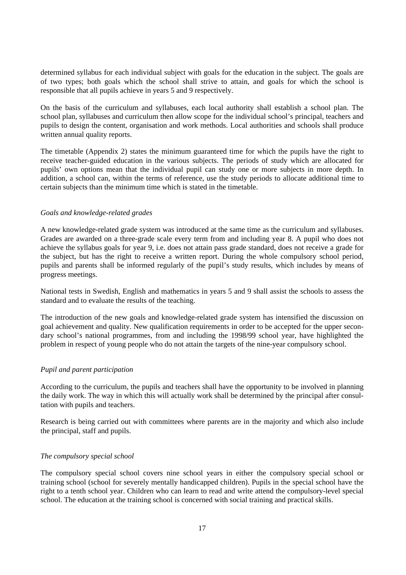determined syllabus for each individual subject with goals for the education in the subject. The goals are of two types; both goals which the school shall strive to attain, and goals for which the school is responsible that all pupils achieve in years 5 and 9 respectively.

On the basis of the curriculum and syllabuses, each local authority shall establish a school plan. The school plan, syllabuses and curriculum then allow scope for the individual school's principal, teachers and pupils to design the content, organisation and work methods. Local authorities and schools shall produce written annual quality reports.

The timetable (Appendix 2) states the minimum guaranteed time for which the pupils have the right to receive teacher-guided education in the various subjects. The periods of study which are allocated for pupils' own options mean that the individual pupil can study one or more subjects in more depth. In addition, a school can, within the terms of reference, use the study periods to allocate additional time to certain subjects than the minimum time which is stated in the timetable.

#### *Goals and knowledge-related grades*

A new knowledge-related grade system was introduced at the same time as the curriculum and syllabuses. Grades are awarded on a three-grade scale every term from and including year 8. A pupil who does not achieve the syllabus goals for year 9, i.e. does not attain pass grade standard, does not receive a grade for the subject, but has the right to receive a written report. During the whole compulsory school period, pupils and parents shall be informed regularly of the pupil's study results, which includes by means of progress meetings.

National tests in Swedish, English and mathematics in years 5 and 9 shall assist the schools to assess the standard and to evaluate the results of the teaching.

The introduction of the new goals and knowledge-related grade system has intensified the discussion on goal achievement and quality. New qualification requirements in order to be accepted for the upper secondary school's national programmes, from and including the 1998/99 school year, have highlighted the problem in respect of young people who do not attain the targets of the nine-year compulsory school.

#### *Pupil and parent participation*

According to the curriculum, the pupils and teachers shall have the opportunity to be involved in planning the daily work. The way in which this will actually work shall be determined by the principal after consultation with pupils and teachers.

Research is being carried out with committees where parents are in the majority and which also include the principal, staff and pupils.

#### *The compulsory special school*

The compulsory special school covers nine school years in either the compulsory special school or training school (school for severely mentally handicapped children). Pupils in the special school have the right to a tenth school year. Children who can learn to read and write attend the compulsory-level special school. The education at the training school is concerned with social training and practical skills.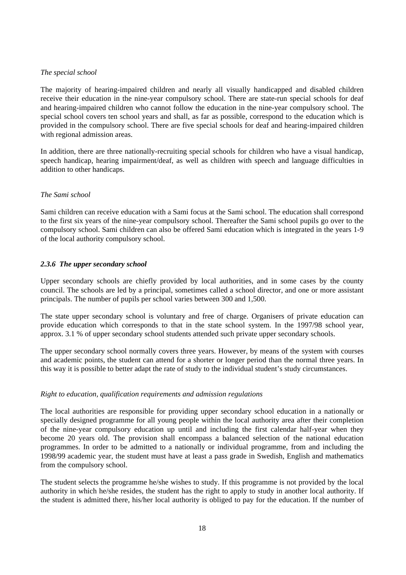#### *The special school*

The majority of hearing-impaired children and nearly all visually handicapped and disabled children receive their education in the nine-year compulsory school. There are state-run special schools for deaf and hearing-impaired children who cannot follow the education in the nine-year compulsory school. The special school covers ten school years and shall, as far as possible, correspond to the education which is provided in the compulsory school. There are five special schools for deaf and hearing-impaired children with regional admission areas.

In addition, there are three nationally-recruiting special schools for children who have a visual handicap, speech handicap, hearing impairment/deaf, as well as children with speech and language difficulties in addition to other handicaps.

#### *The Sami school*

Sami children can receive education with a Sami focus at the Sami school. The education shall correspond to the first six years of the nine-year compulsory school. Thereafter the Sami school pupils go over to the compulsory school. Sami children can also be offered Sami education which is integrated in the years 1-9 of the local authority compulsory school.

#### *2.3.6 The upper secondary school*

Upper secondary schools are chiefly provided by local authorities, and in some cases by the county council. The schools are led by a principal, sometimes called a school director, and one or more assistant principals. The number of pupils per school varies between 300 and 1,500.

The state upper secondary school is voluntary and free of charge. Organisers of private education can provide education which corresponds to that in the state school system. In the 1997/98 school year, approx. 3.1 % of upper secondary school students attended such private upper secondary schools.

The upper secondary school normally covers three years. However, by means of the system with courses and academic points, the student can attend for a shorter or longer period than the normal three years. In this way it is possible to better adapt the rate of study to the individual student's study circumstances.

#### *Right to education, qualification requirements and admission regulations*

The local authorities are responsible for providing upper secondary school education in a nationally or specially designed programme for all young people within the local authority area after their completion of the nine-year compulsory education up until and including the first calendar half-year when they become 20 years old. The provision shall encompass a balanced selection of the national education programmes. In order to be admitted to a nationally or individual programme, from and including the 1998/99 academic year, the student must have at least a pass grade in Swedish, English and mathematics from the compulsory school.

The student selects the programme he/she wishes to study. If this programme is not provided by the local authority in which he/she resides, the student has the right to apply to study in another local authority. If the student is admitted there, his/her local authority is obliged to pay for the education. If the number of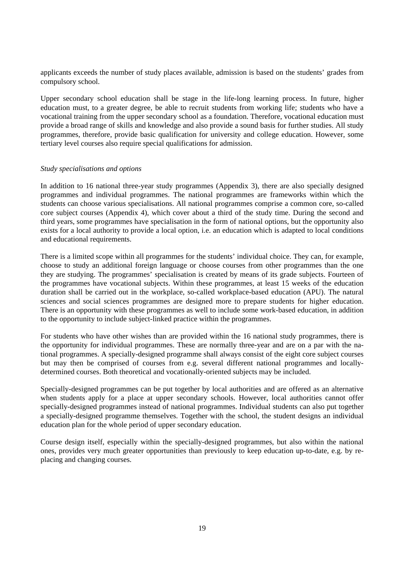applicants exceeds the number of study places available, admission is based on the students' grades from compulsory school.

Upper secondary school education shall be stage in the life-long learning process. In future, higher education must, to a greater degree, be able to recruit students from working life; students who have a vocational training from the upper secondary school as a foundation. Therefore, vocational education must provide a broad range of skills and knowledge and also provide a sound basis for further studies. All study programmes, therefore, provide basic qualification for university and college education. However, some tertiary level courses also require special qualifications for admission.

#### *Study specialisations and options*

In addition to 16 national three-year study programmes (Appendix 3), there are also specially designed programmes and individual programmes. The national programmes are frameworks within which the students can choose various specialisations. All national programmes comprise a common core, so-called core subject courses (Appendix 4), which cover about a third of the study time. During the second and third years, some programmes have specialisation in the form of national options, but the opportunity also exists for a local authority to provide a local option, i.e. an education which is adapted to local conditions and educational requirements.

There is a limited scope within all programmes for the students' individual choice. They can, for example, choose to study an additional foreign language or choose courses from other programmes than the one they are studying. The programmes' specialisation is created by means of its grade subjects. Fourteen of the programmes have vocational subjects. Within these programmes, at least 15 weeks of the education duration shall be carried out in the workplace, so-called workplace-based education (APU). The natural sciences and social sciences programmes are designed more to prepare students for higher education. There is an opportunity with these programmes as well to include some work-based education, in addition to the opportunity to include subject-linked practice within the programmes.

For students who have other wishes than are provided within the 16 national study programmes, there is the opportunity for individual programmes. These are normally three-year and are on a par with the national programmes. A specially-designed programme shall always consist of the eight core subject courses but may then be comprised of courses from e.g. several different national programmes and locallydetermined courses. Both theoretical and vocationally-oriented subjects may be included.

Specially-designed programmes can be put together by local authorities and are offered as an alternative when students apply for a place at upper secondary schools. However, local authorities cannot offer specially-designed programmes instead of national programmes. Individual students can also put together a specially-designed programme themselves. Together with the school, the student designs an individual education plan for the whole period of upper secondary education.

Course design itself, especially within the specially-designed programmes, but also within the national ones, provides very much greater opportunities than previously to keep education up-to-date, e.g. by replacing and changing courses.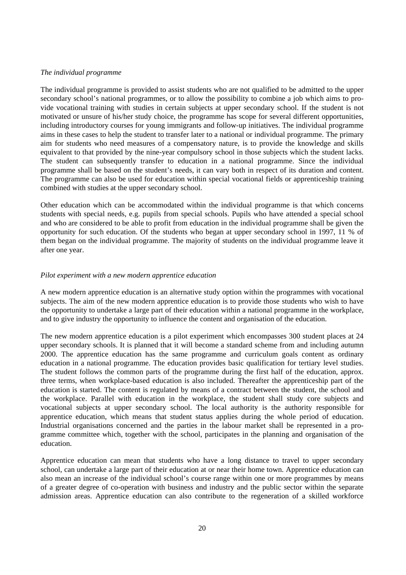#### *The individual programme*

The individual programme is provided to assist students who are not qualified to be admitted to the upper secondary school's national programmes, or to allow the possibility to combine a job which aims to provide vocational training with studies in certain subjects at upper secondary school. If the student is not motivated or unsure of his/her study choice, the programme has scope for several different opportunities, including introductory courses for young immigrants and follow-up initiatives. The individual programme aims in these cases to help the student to transfer later to a national or individual programme. The primary aim for students who need measures of a compensatory nature, is to provide the knowledge and skills equivalent to that provided by the nine-year compulsory school in those subjects which the student lacks. The student can subsequently transfer to education in a national programme. Since the individual programme shall be based on the student's needs, it can vary both in respect of its duration and content. The programme can also be used for education within special vocational fields or apprenticeship training combined with studies at the upper secondary school.

Other education which can be accommodated within the individual programme is that which concerns students with special needs, e.g. pupils from special schools. Pupils who have attended a special school and who are considered to be able to profit from education in the individual programme shall be given the opportunity for such education. Of the students who began at upper secondary school in 1997, 11 % of them began on the individual programme. The majority of students on the individual programme leave it after one year.

#### *Pilot experiment with a new modern apprentice education*

A new modern apprentice education is an alternative study option within the programmes with vocational subjects. The aim of the new modern apprentice education is to provide those students who wish to have the opportunity to undertake a large part of their education within a national programme in the workplace, and to give industry the opportunity to influence the content and organisation of the education.

The new modern apprentice education is a pilot experiment which encompasses 300 student places at 24 upper secondary schools. It is planned that it will become a standard scheme from and including autumn 2000. The apprentice education has the same programme and curriculum goals content as ordinary education in a national programme. The education provides basic qualification for tertiary level studies. The student follows the common parts of the programme during the first half of the education, approx. three terms, when workplace-based education is also included. Thereafter the apprenticeship part of the education is started. The content is regulated by means of a contract between the student, the school and the workplace. Parallel with education in the workplace, the student shall study core subjects and vocational subjects at upper secondary school. The local authority is the authority responsible for apprentice education, which means that student status applies during the whole period of education. Industrial organisations concerned and the parties in the labour market shall be represented in a programme committee which, together with the school, participates in the planning and organisation of the education.

Apprentice education can mean that students who have a long distance to travel to upper secondary school, can undertake a large part of their education at or near their home town. Apprentice education can also mean an increase of the individual school's course range within one or more programmes by means of a greater degree of co-operation with business and industry and the public sector within the separate admission areas. Apprentice education can also contribute to the regeneration of a skilled workforce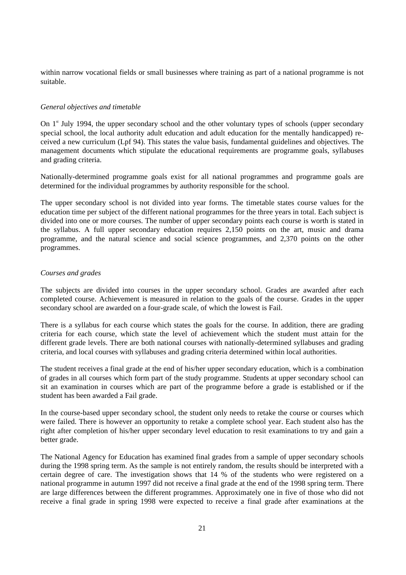within narrow vocational fields or small businesses where training as part of a national programme is not suitable.

#### *General objectives and timetable*

On  $1<sup>st</sup>$  July 1994, the upper secondary school and the other voluntary types of schools (upper secondary special school, the local authority adult education and adult education for the mentally handicapped) received a new curriculum (Lpf 94). This states the value basis, fundamental guidelines and objectives. The management documents which stipulate the educational requirements are programme goals, syllabuses and grading criteria.

Nationally-determined programme goals exist for all national programmes and programme goals are determined for the individual programmes by authority responsible for the school.

The upper secondary school is not divided into year forms. The timetable states course values for the education time per subject of the different national programmes for the three years in total. Each subject is divided into one or more courses. The number of upper secondary points each course is worth is stated in the syllabus. A full upper secondary education requires 2,150 points on the art, music and drama programme, and the natural science and social science programmes, and 2,370 points on the other programmes.

#### *Courses and grades*

The subjects are divided into courses in the upper secondary school. Grades are awarded after each completed course. Achievement is measured in relation to the goals of the course. Grades in the upper secondary school are awarded on a four-grade scale, of which the lowest is Fail.

There is a syllabus for each course which states the goals for the course. In addition, there are grading criteria for each course, which state the level of achievement which the student must attain for the different grade levels. There are both national courses with nationally-determined syllabuses and grading criteria, and local courses with syllabuses and grading criteria determined within local authorities.

The student receives a final grade at the end of his/her upper secondary education, which is a combination of grades in all courses which form part of the study programme. Students at upper secondary school can sit an examination in courses which are part of the programme before a grade is established or if the student has been awarded a Fail grade.

In the course-based upper secondary school, the student only needs to retake the course or courses which were failed. There is however an opportunity to retake a complete school year. Each student also has the right after completion of his/her upper secondary level education to resit examinations to try and gain a better grade.

The National Agency for Education has examined final grades from a sample of upper secondary schools during the 1998 spring term. As the sample is not entirely random, the results should be interpreted with a certain degree of care. The investigation shows that 14 % of the students who were registered on a national programme in autumn 1997 did not receive a final grade at the end of the 1998 spring term. There are large differences between the different programmes. Approximately one in five of those who did not receive a final grade in spring 1998 were expected to receive a final grade after examinations at the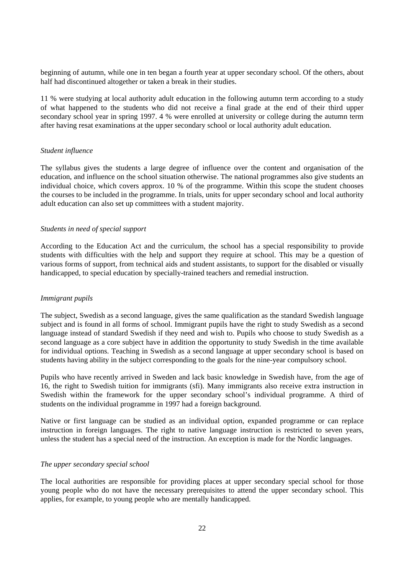beginning of autumn, while one in ten began a fourth year at upper secondary school. Of the others, about half had discontinued altogether or taken a break in their studies.

11 % were studying at local authority adult education in the following autumn term according to a study of what happened to the students who did not receive a final grade at the end of their third upper secondary school year in spring 1997. 4 % were enrolled at university or college during the autumn term after having resat examinations at the upper secondary school or local authority adult education.

#### *Student influence*

The syllabus gives the students a large degree of influence over the content and organisation of the education, and influence on the school situation otherwise. The national programmes also give students an individual choice, which covers approx. 10 % of the programme. Within this scope the student chooses the courses to be included in the programme. In trials, units for upper secondary school and local authority adult education can also set up committees with a student majority.

#### *Students in need of special support*

According to the Education Act and the curriculum, the school has a special responsibility to provide students with difficulties with the help and support they require at school. This may be a question of various forms of support, from technical aids and student assistants, to support for the disabled or visually handicapped, to special education by specially-trained teachers and remedial instruction.

#### *Immigrant pupils*

The subject, Swedish as a second language, gives the same qualification as the standard Swedish language subject and is found in all forms of school. Immigrant pupils have the right to study Swedish as a second language instead of standard Swedish if they need and wish to. Pupils who choose to study Swedish as a second language as a core subject have in addition the opportunity to study Swedish in the time available for individual options. Teaching in Swedish as a second language at upper secondary school is based on students having ability in the subject corresponding to the goals for the nine-year compulsory school.

Pupils who have recently arrived in Sweden and lack basic knowledge in Swedish have, from the age of 16, the right to Swedish tuition for immigrants (sfi). Many immigrants also receive extra instruction in Swedish within the framework for the upper secondary school's individual programme. A third of students on the individual programme in 1997 had a foreign background.

Native or first language can be studied as an individual option, expanded programme or can replace instruction in foreign languages. The right to native language instruction is restricted to seven years, unless the student has a special need of the instruction. An exception is made for the Nordic languages.

#### *The upper secondary special school*

The local authorities are responsible for providing places at upper secondary special school for those young people who do not have the necessary prerequisites to attend the upper secondary school. This applies, for example, to young people who are mentally handicapped.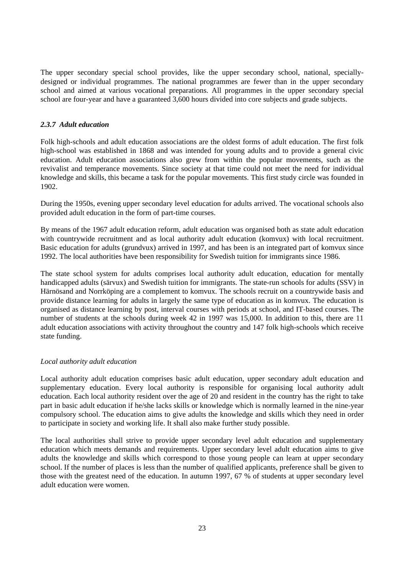The upper secondary special school provides, like the upper secondary school, national, speciallydesigned or individual programmes. The national programmes are fewer than in the upper secondary school and aimed at various vocational preparations. All programmes in the upper secondary special school are four-year and have a guaranteed 3,600 hours divided into core subjects and grade subjects.

#### *2.3.7 Adult education*

Folk high-schools and adult education associations are the oldest forms of adult education. The first folk high-school was established in 1868 and was intended for young adults and to provide a general civic education. Adult education associations also grew from within the popular movements, such as the revivalist and temperance movements. Since society at that time could not meet the need for individual knowledge and skills, this became a task for the popular movements. This first study circle was founded in 1902.

During the 1950s, evening upper secondary level education for adults arrived. The vocational schools also provided adult education in the form of part-time courses.

By means of the 1967 adult education reform, adult education was organised both as state adult education with countrywide recruitment and as local authority adult education (komvux) with local recruitment. Basic education for adults (grundvux) arrived in 1997, and has been is an integrated part of komvux since 1992. The local authorities have been responsibility for Swedish tuition for immigrants since 1986.

The state school system for adults comprises local authority adult education, education for mentally handicapped adults (särvux) and Swedish tuition for immigrants. The state-run schools for adults (SSV) in Härnösand and Norrköping are a complement to komvux. The schools recruit on a countrywide basis and provide distance learning for adults in largely the same type of education as in komvux. The education is organised as distance learning by post, interval courses with periods at school, and IT-based courses. The number of students at the schools during week 42 in 1997 was 15,000. In addition to this, there are 11 adult education associations with activity throughout the country and 147 folk high-schools which receive state funding.

#### *Local authority adult education*

Local authority adult education comprises basic adult education, upper secondary adult education and supplementary education. Every local authority is responsible for organising local authority adult education. Each local authority resident over the age of 20 and resident in the country has the right to take part in basic adult education if he/she lacks skills or knowledge which is normally learned in the nine-year compulsory school. The education aims to give adults the knowledge and skills which they need in order to participate in society and working life. It shall also make further study possible.

The local authorities shall strive to provide upper secondary level adult education and supplementary education which meets demands and requirements. Upper secondary level adult education aims to give adults the knowledge and skills which correspond to those young people can learn at upper secondary school. If the number of places is less than the number of qualified applicants, preference shall be given to those with the greatest need of the education. In autumn 1997, 67 % of students at upper secondary level adult education were women.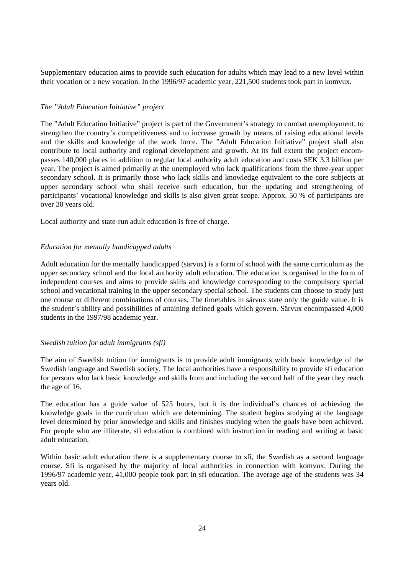Supplementary education aims to provide such education for adults which may lead to a new level within their vocation or a new vocation. In the 1996/97 academic year, 221,500 students took part in komvux.

#### *The "Adult Education Initiative" project*

The "Adult Education Initiative" project is part of the Government's strategy to combat unemployment, to strengthen the country's competitiveness and to increase growth by means of raising educational levels and the skills and knowledge of the work force. The "Adult Education Initiative" project shall also contribute to local authority and regional development and growth. At its full extent the project encompasses 140,000 places in addition to regular local authority adult education and costs SEK 3.3 billion per year. The project is aimed primarily at the unemployed who lack qualifications from the three-year upper secondary school. It is primarily those who lack skills and knowledge equivalent to the core subjects at upper secondary school who shall receive such education, but the updating and strengthening of participants' vocational knowledge and skills is also given great scope. Approx. 50 % of participants are over 30 years old.

Local authority and state-run adult education is free of charge.

#### *Education for mentally handicapped adults*

Adult education for the mentally handicapped (särvux) is a form of school with the same curriculum as the upper secondary school and the local authority adult education. The education is organised in the form of independent courses and aims to provide skills and knowledge corresponding to the compulsory special school and vocational training in the upper secondary special school. The students can choose to study just one course or different combinations of courses. The timetables in särvux state only the guide value. It is the student's ability and possibilities of attaining defined goals which govern. Särvux encompassed 4,000 students in the 1997/98 academic year.

#### *Swedish tuition for adult immigrants (sfi)*

The aim of Swedish tuition for immigrants is to provide adult immigrants with basic knowledge of the Swedish language and Swedish society. The local authorities have a responsibility to provide sfi education for persons who lack basic knowledge and skills from and including the second half of the year they reach the age of 16.

The education has a guide value of 525 hours, but it is the individual's chances of achieving the knowledge goals in the curriculum which are determining. The student begins studying at the language level determined by prior knowledge and skills and finishes studying when the goals have been achieved. For people who are illiterate, sfi education is combined with instruction in reading and writing at basic adult education.

Within basic adult education there is a supplementary course to sfi, the Swedish as a second language course. Sfi is organised by the majority of local authorities in connection with komvux. During the 1996/97 academic year, 41,000 people took part in sfi education. The average age of the students was 34 years old.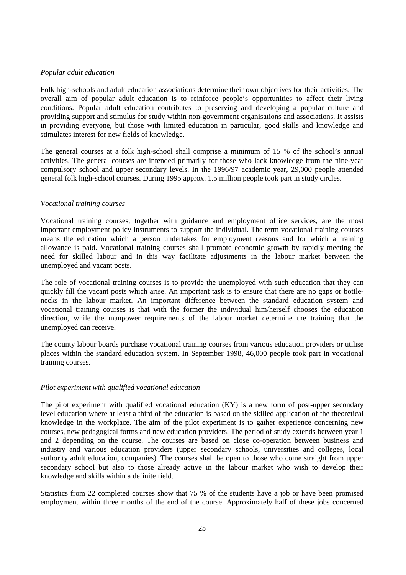#### *Popular adult education*

Folk high-schools and adult education associations determine their own objectives for their activities. The overall aim of popular adult education is to reinforce people's opportunities to affect their living conditions. Popular adult education contributes to preserving and developing a popular culture and providing support and stimulus for study within non-government organisations and associations. It assists in providing everyone, but those with limited education in particular, good skills and knowledge and stimulates interest for new fields of knowledge.

The general courses at a folk high-school shall comprise a minimum of 15 % of the school's annual activities. The general courses are intended primarily for those who lack knowledge from the nine-year compulsory school and upper secondary levels. In the 1996/97 academic year, 29,000 people attended general folk high-school courses. During 1995 approx. 1.5 million people took part in study circles.

#### *Vocational training courses*

Vocational training courses, together with guidance and employment office services, are the most important employment policy instruments to support the individual. The term vocational training courses means the education which a person undertakes for employment reasons and for which a training allowance is paid. Vocational training courses shall promote economic growth by rapidly meeting the need for skilled labour and in this way facilitate adjustments in the labour market between the unemployed and vacant posts.

The role of vocational training courses is to provide the unemployed with such education that they can quickly fill the vacant posts which arise. An important task is to ensure that there are no gaps or bottlenecks in the labour market. An important difference between the standard education system and vocational training courses is that with the former the individual him/herself chooses the education direction, while the manpower requirements of the labour market determine the training that the unemployed can receive.

The county labour boards purchase vocational training courses from various education providers or utilise places within the standard education system. In September 1998, 46,000 people took part in vocational training courses.

#### *Pilot experiment with qualified vocational education*

The pilot experiment with qualified vocational education (KY) is a new form of post-upper secondary level education where at least a third of the education is based on the skilled application of the theoretical knowledge in the workplace. The aim of the pilot experiment is to gather experience concerning new courses, new pedagogical forms and new education providers. The period of study extends between year 1 and 2 depending on the course. The courses are based on close co-operation between business and industry and various education providers (upper secondary schools, universities and colleges, local authority adult education, companies). The courses shall be open to those who come straight from upper secondary school but also to those already active in the labour market who wish to develop their knowledge and skills within a definite field.

Statistics from 22 completed courses show that 75 % of the students have a job or have been promised employment within three months of the end of the course. Approximately half of these jobs concerned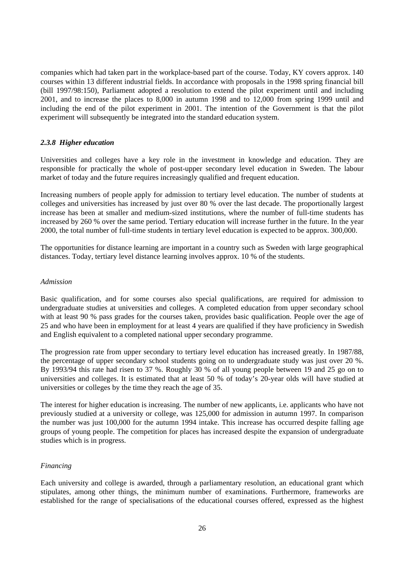companies which had taken part in the workplace-based part of the course. Today, KY covers approx. 140 courses within 13 different industrial fields. In accordance with proposals in the 1998 spring financial bill (bill 1997/98:150), Parliament adopted a resolution to extend the pilot experiment until and including 2001, and to increase the places to 8,000 in autumn 1998 and to 12,000 from spring 1999 until and including the end of the pilot experiment in 2001. The intention of the Government is that the pilot experiment will subsequently be integrated into the standard education system.

#### *2.3.8 Higher education*

Universities and colleges have a key role in the investment in knowledge and education. They are responsible for practically the whole of post-upper secondary level education in Sweden. The labour market of today and the future requires increasingly qualified and frequent education.

Increasing numbers of people apply for admission to tertiary level education. The number of students at colleges and universities has increased by just over 80 % over the last decade. The proportionally largest increase has been at smaller and medium-sized institutions, where the number of full-time students has increased by 260 % over the same period. Tertiary education will increase further in the future. In the year 2000, the total number of full-time students in tertiary level education is expected to be approx. 300,000.

The opportunities for distance learning are important in a country such as Sweden with large geographical distances. Today, tertiary level distance learning involves approx. 10 % of the students.

#### *Admission*

Basic qualification, and for some courses also special qualifications, are required for admission to undergraduate studies at universities and colleges. A completed education from upper secondary school with at least 90 % pass grades for the courses taken, provides basic qualification. People over the age of 25 and who have been in employment for at least 4 years are qualified if they have proficiency in Swedish and English equivalent to a completed national upper secondary programme.

The progression rate from upper secondary to tertiary level education has increased greatly. In 1987/88, the percentage of upper secondary school students going on to undergraduate study was just over 20 %. By 1993/94 this rate had risen to 37 %. Roughly 30 % of all young people between 19 and 25 go on to universities and colleges. It is estimated that at least 50 % of today's 20-year olds will have studied at universities or colleges by the time they reach the age of 35.

The interest for higher education is increasing. The number of new applicants, i.e. applicants who have not previously studied at a university or college, was 125,000 for admission in autumn 1997. In comparison the number was just 100,000 for the autumn 1994 intake. This increase has occurred despite falling age groups of young people. The competition for places has increased despite the expansion of undergraduate studies which is in progress.

#### *Financing*

Each university and college is awarded, through a parliamentary resolution, an educational grant which stipulates, among other things, the minimum number of examinations. Furthermore, frameworks are established for the range of specialisations of the educational courses offered, expressed as the highest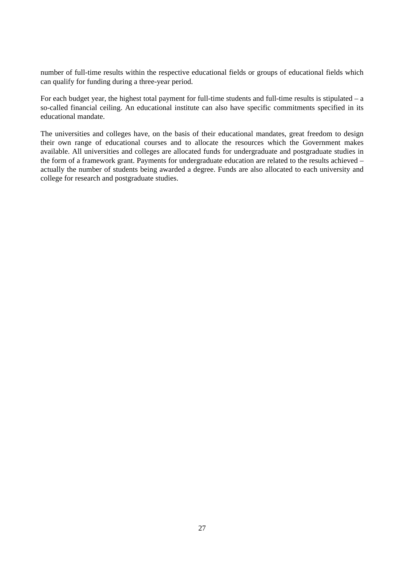number of full-time results within the respective educational fields or groups of educational fields which can qualify for funding during a three-year period.

For each budget year, the highest total payment for full-time students and full-time results is stipulated  $- a$ so-called financial ceiling. An educational institute can also have specific commitments specified in its educational mandate.

The universities and colleges have, on the basis of their educational mandates, great freedom to design their own range of educational courses and to allocate the resources which the Government makes available. All universities and colleges are allocated funds for undergraduate and postgraduate studies in the form of a framework grant. Payments for undergraduate education are related to the results achieved – actually the number of students being awarded a degree. Funds are also allocated to each university and college for research and postgraduate studies.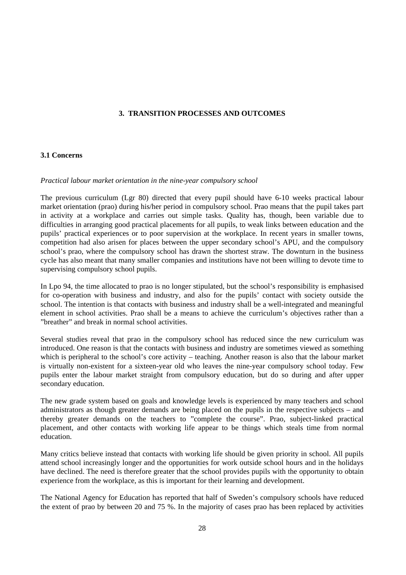#### **3. TRANSITION PROCESSES AND OUTCOMES**

#### **3.1 Concerns**

#### *Practical labour market orientation in the nine-year compulsory school*

The previous curriculum (Lgr 80) directed that every pupil should have 6-10 weeks practical labour market orientation (prao) during his/her period in compulsory school. Prao means that the pupil takes part in activity at a workplace and carries out simple tasks. Quality has, though, been variable due to difficulties in arranging good practical placements for all pupils, to weak links between education and the pupils' practical experiences or to poor supervision at the workplace. In recent years in smaller towns, competition had also arisen for places between the upper secondary school's APU, and the compulsory school's prao, where the compulsory school has drawn the shortest straw. The downturn in the business cycle has also meant that many smaller companies and institutions have not been willing to devote time to supervising compulsory school pupils.

In Lpo 94, the time allocated to prao is no longer stipulated, but the school's responsibility is emphasised for co-operation with business and industry, and also for the pupils' contact with society outside the school. The intention is that contacts with business and industry shall be a well-integrated and meaningful element in school activities. Prao shall be a means to achieve the curriculum's objectives rather than a "breather" and break in normal school activities.

Several studies reveal that prao in the compulsory school has reduced since the new curriculum was introduced. One reason is that the contacts with business and industry are sometimes viewed as something which is peripheral to the school's core activity – teaching. Another reason is also that the labour market is virtually non-existent for a sixteen-year old who leaves the nine-year compulsory school today. Few pupils enter the labour market straight from compulsory education, but do so during and after upper secondary education.

The new grade system based on goals and knowledge levels is experienced by many teachers and school administrators as though greater demands are being placed on the pupils in the respective subjects – and thereby greater demands on the teachers to "complete the course". Prao, subject-linked practical placement, and other contacts with working life appear to be things which steals time from normal education.

Many critics believe instead that contacts with working life should be given priority in school. All pupils attend school increasingly longer and the opportunities for work outside school hours and in the holidays have declined. The need is therefore greater that the school provides pupils with the opportunity to obtain experience from the workplace, as this is important for their learning and development.

The National Agency for Education has reported that half of Sweden's compulsory schools have reduced the extent of prao by between 20 and 75 %. In the majority of cases prao has been replaced by activities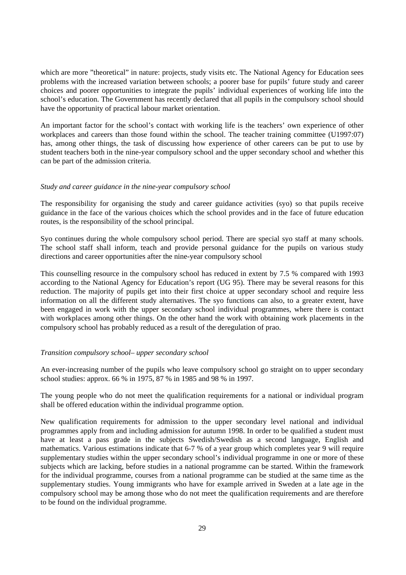which are more "theoretical" in nature: projects, study visits etc. The National Agency for Education sees problems with the increased variation between schools; a poorer base for pupils' future study and career choices and poorer opportunities to integrate the pupils' individual experiences of working life into the school's education. The Government has recently declared that all pupils in the compulsory school should have the opportunity of practical labour market orientation.

An important factor for the school's contact with working life is the teachers' own experience of other workplaces and careers than those found within the school. The teacher training committee (U1997:07) has, among other things, the task of discussing how experience of other careers can be put to use by student teachers both in the nine-year compulsory school and the upper secondary school and whether this can be part of the admission criteria.

#### *Study and career guidance in the nine-year compulsory school*

The responsibility for organising the study and career guidance activities (syo) so that pupils receive guidance in the face of the various choices which the school provides and in the face of future education routes, is the responsibility of the school principal.

Syo continues during the whole compulsory school period. There are special syo staff at many schools. The school staff shall inform, teach and provide personal guidance for the pupils on various study directions and career opportunities after the nine-year compulsory school

This counselling resource in the compulsory school has reduced in extent by 7.5 % compared with 1993 according to the National Agency for Education's report (UG 95). There may be several reasons for this reduction. The majority of pupils get into their first choice at upper secondary school and require less information on all the different study alternatives. The syo functions can also, to a greater extent, have been engaged in work with the upper secondary school individual programmes, where there is contact with workplaces among other things. On the other hand the work with obtaining work placements in the compulsory school has probably reduced as a result of the deregulation of prao.

#### *Transition compulsory school– upper secondary school*

An ever-increasing number of the pupils who leave compulsory school go straight on to upper secondary school studies: approx. 66 % in 1975, 87 % in 1985 and 98 % in 1997.

The young people who do not meet the qualification requirements for a national or individual program shall be offered education within the individual programme option.

New qualification requirements for admission to the upper secondary level national and individual programmes apply from and including admission for autumn 1998. In order to be qualified a student must have at least a pass grade in the subjects Swedish/Swedish as a second language, English and mathematics. Various estimations indicate that 6-7 % of a year group which completes year 9 will require supplementary studies within the upper secondary school's individual programme in one or more of these subjects which are lacking, before studies in a national programme can be started. Within the framework for the individual programme, courses from a national programme can be studied at the same time as the supplementary studies. Young immigrants who have for example arrived in Sweden at a late age in the compulsory school may be among those who do not meet the qualification requirements and are therefore to be found on the individual programme.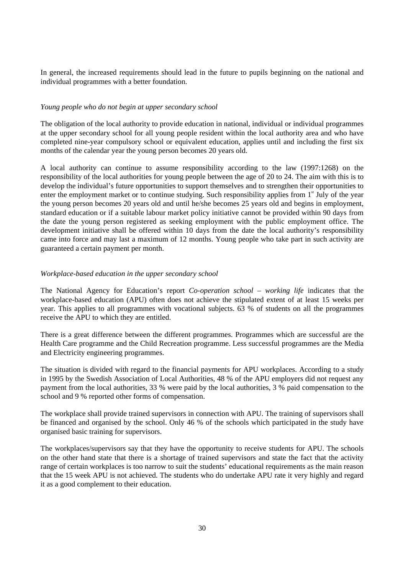In general, the increased requirements should lead in the future to pupils beginning on the national and individual programmes with a better foundation.

#### *Young people who do not begin at upper secondary school*

The obligation of the local authority to provide education in national, individual or individual programmes at the upper secondary school for all young people resident within the local authority area and who have completed nine-year compulsory school or equivalent education, applies until and including the first six months of the calendar year the young person becomes 20 years old.

A local authority can continue to assume responsibility according to the law (1997:1268) on the responsibility of the local authorities for young people between the age of 20 to 24. The aim with this is to develop the individual's future opportunities to support themselves and to strengthen their opportunities to enter the employment market or to continue studying. Such responsibility applies from  $1<sup>st</sup>$  July of the year the young person becomes 20 years old and until he/she becomes 25 years old and begins in employment, standard education or if a suitable labour market policy initiative cannot be provided within 90 days from the date the young person registered as seeking employment with the public employment office. The development initiative shall be offered within 10 days from the date the local authority's responsibility came into force and may last a maximum of 12 months. Young people who take part in such activity are guaranteed a certain payment per month.

#### *Workplace-based education in the upper secondary school*

The National Agency for Education's report *Co-operation school – working life* indicates that the workplace-based education (APU) often does not achieve the stipulated extent of at least 15 weeks per year. This applies to all programmes with vocational subjects. 63 % of students on all the programmes receive the APU to which they are entitled.

There is a great difference between the different programmes. Programmes which are successful are the Health Care programme and the Child Recreation programme. Less successful programmes are the Media and Electricity engineering programmes.

The situation is divided with regard to the financial payments for APU workplaces. According to a study in 1995 by the Swedish Association of Local Authorities, 48 % of the APU employers did not request any payment from the local authorities, 33 % were paid by the local authorities, 3 % paid compensation to the school and 9 % reported other forms of compensation.

The workplace shall provide trained supervisors in connection with APU. The training of supervisors shall be financed and organised by the school. Only 46 % of the schools which participated in the study have organised basic training for supervisors.

The workplaces/supervisors say that they have the opportunity to receive students for APU. The schools on the other hand state that there is a shortage of trained supervisors and state the fact that the activity range of certain workplaces is too narrow to suit the students' educational requirements as the main reason that the 15 week APU is not achieved. The students who do undertake APU rate it very highly and regard it as a good complement to their education.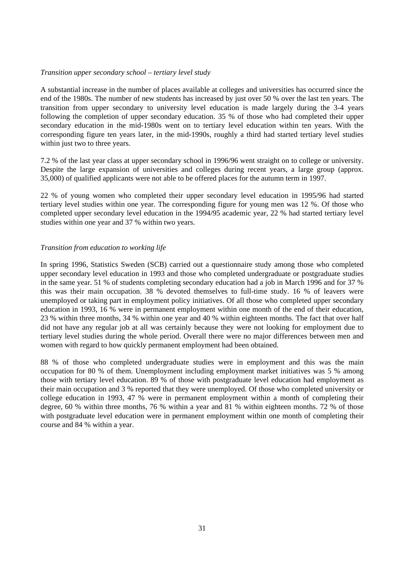#### *Transition upper secondary school – tertiary level study*

A substantial increase in the number of places available at colleges and universities has occurred since the end of the 1980s. The number of new students has increased by just over 50 % over the last ten years. The transition from upper secondary to university level education is made largely during the 3-4 years following the completion of upper secondary education. 35 % of those who had completed their upper secondary education in the mid-1980s went on to tertiary level education within ten years. With the corresponding figure ten years later, in the mid-1990s, roughly a third had started tertiary level studies within just two to three years.

7.2 % of the last year class at upper secondary school in 1996/96 went straight on to college or university. Despite the large expansion of universities and colleges during recent years, a large group (approx. 35,000) of qualified applicants were not able to be offered places for the autumn term in 1997.

22 % of young women who completed their upper secondary level education in 1995/96 had started tertiary level studies within one year. The corresponding figure for young men was 12 %. Of those who completed upper secondary level education in the 1994/95 academic year, 22 % had started tertiary level studies within one year and 37 % within two years.

#### *Transition from education to working life*

In spring 1996, Statistics Sweden (SCB) carried out a questionnaire study among those who completed upper secondary level education in 1993 and those who completed undergraduate or postgraduate studies in the same year. 51 % of students completing secondary education had a job in March 1996 and for 37 % this was their main occupation. 38 % devoted themselves to full-time study. 16 % of leavers were unemployed or taking part in employment policy initiatives. Of all those who completed upper secondary education in 1993, 16 % were in permanent employment within one month of the end of their education, 23 % within three months, 34 % within one year and 40 % within eighteen months. The fact that over half did not have any regular job at all was certainly because they were not looking for employment due to tertiary level studies during the whole period. Overall there were no major differences between men and women with regard to how quickly permanent employment had been obtained.

88 % of those who completed undergraduate studies were in employment and this was the main occupation for 80 % of them. Unemployment including employment market initiatives was 5 % among those with tertiary level education. 89 % of those with postgraduate level education had employment as their main occupation and 3 % reported that they were unemployed. Of those who completed university or college education in 1993, 47 % were in permanent employment within a month of completing their degree, 60 % within three months, 76 % within a year and 81 % within eighteen months. 72 % of those with postgraduate level education were in permanent employment within one month of completing their course and 84 % within a year.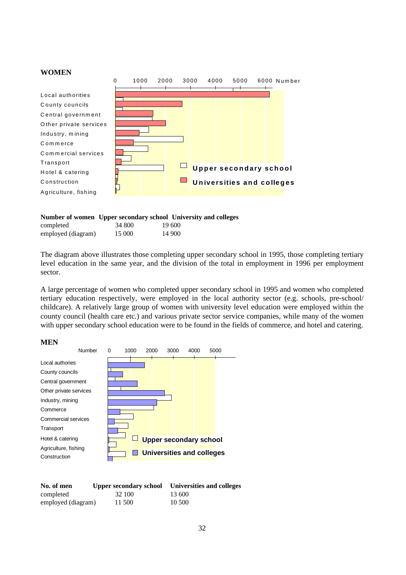#### **WOMEN**

|                        | 0 | 1000 | 2000 | 3000 | 4000 | 5000                          | 6000 Number                      |  |
|------------------------|---|------|------|------|------|-------------------------------|----------------------------------|--|
|                        |   |      |      |      |      |                               |                                  |  |
| Local authorities      |   |      |      |      |      |                               |                                  |  |
| County councils        |   |      |      |      |      |                               |                                  |  |
| Central government     |   |      |      |      |      |                               |                                  |  |
| Other private services |   |      |      |      |      |                               |                                  |  |
| Industry, mining       |   |      |      |      |      |                               |                                  |  |
| Commerce               |   |      |      |      |      |                               |                                  |  |
| Commercial services    |   |      |      |      |      |                               |                                  |  |
| Transport              |   |      |      |      |      |                               |                                  |  |
| Hotel & catering       |   |      |      |      |      | <b>Upper secondary school</b> |                                  |  |
| Construction           |   |      |      |      |      |                               | <b>Universities and colleges</b> |  |
| Agriculture, fishing   |   |      |      |      |      |                               |                                  |  |

#### **Number of women Upper secondary school University and colleges**

| completed          | 34 800 | 19 600 |
|--------------------|--------|--------|
| employed (diagram) | 15 000 | 14 900 |

The diagram above illustrates those completing upper secondary school in 1995, those completing tertiary level education in the same year, and the division of the total in employment in 1996 per employment sector.

A large percentage of women who completed upper secondary school in 1995 and women who completed tertiary education respectively, were employed in the local authority sector (e.g. schools, pre-school/ childcare). A relatively large group of women with university level education were employed within the county council (health care etc.) and various private sector service companies, while many of the women with upper secondary school education were to be found in the fields of commerce, and hotel and catering.

#### **MEN**



| No. of men         | Upper secondary school | Universities and colleges |
|--------------------|------------------------|---------------------------|
| completed          | 32 100                 | 13 600                    |
| employed (diagram) | 11 500                 | 10.500                    |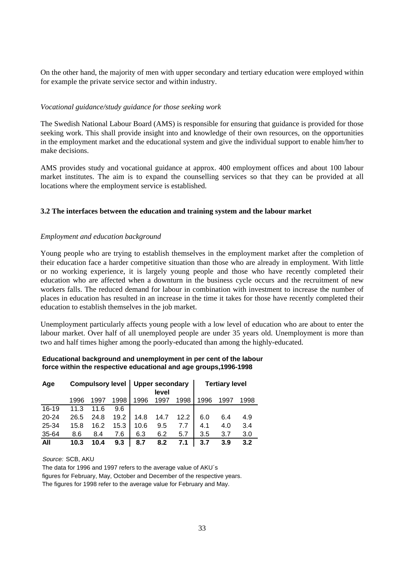On the other hand, the majority of men with upper secondary and tertiary education were employed within for example the private service sector and within industry.

#### *Vocational guidance/study guidance for those seeking work*

The Swedish National Labour Board (AMS) is responsible for ensuring that guidance is provided for those seeking work. This shall provide insight into and knowledge of their own resources, on the opportunities in the employment market and the educational system and give the individual support to enable him/her to make decisions.

AMS provides study and vocational guidance at approx. 400 employment offices and about 100 labour market institutes. The aim is to expand the counselling services so that they can be provided at all locations where the employment service is established.

#### **3.2 The interfaces between the education and training system and the labour market**

#### *Employment and education background*

Young people who are trying to establish themselves in the employment market after the completion of their education face a harder competitive situation than those who are already in employment. With little or no working experience, it is largely young people and those who have recently completed their education who are affected when a downturn in the business cycle occurs and the recruitment of new workers falls. The reduced demand for labour in combination with investment to increase the number of places in education has resulted in an increase in the time it takes for those have recently completed their education to establish themselves in the job market.

Unemployment particularly affects young people with a low level of education who are about to enter the labour market. Over half of all unemployed people are under 35 years old. Unemployment is more than two and half times higher among the poorly-educated than among the highly-educated.

#### **Educational background and unemployment in per cent of the labour force within the respective educational and age groups,1996-1998**

| Age       |      |      |      | Compulsory level  <br><b>Upper secondary</b><br>level |      | <b>Tertiary level</b> |      |      |      |
|-----------|------|------|------|-------------------------------------------------------|------|-----------------------|------|------|------|
|           | 1996 | 1997 | 1998 | 1996                                                  | 1997 | 1998                  | 1996 | 1997 | 1998 |
| $16-19$   | 11.3 | 11.6 | 9.6  |                                                       |      |                       |      |      |      |
| $20 - 24$ | 26.5 | 24.8 | 19.2 | 14.8                                                  | 14.7 | 12.2                  | 6.0  | 6.4  | 4.9  |
| 25-34     | 15.8 | 16.2 | 15.3 | 10.6                                                  | 9.5  |                       | 4.1  | 4.0  | 3.4  |
| 35-64     | 8.6  | 8.4  | 7.6  | 6.3                                                   | 6.2  | 5.7                   | 3.5  | 3.7  | 3.0  |
| All       | 10.3 | 10.4 | 9.3  | 8.7                                                   | 8.2  | 7.1                   | 3.7  | 3.9  | 3.2  |

Source: SCB, AKU

The data for 1996 and 1997 refers to the average value of AKU´s figures for February, May, October and December of the respective years.

The figures for 1998 refer to the average value for February and May.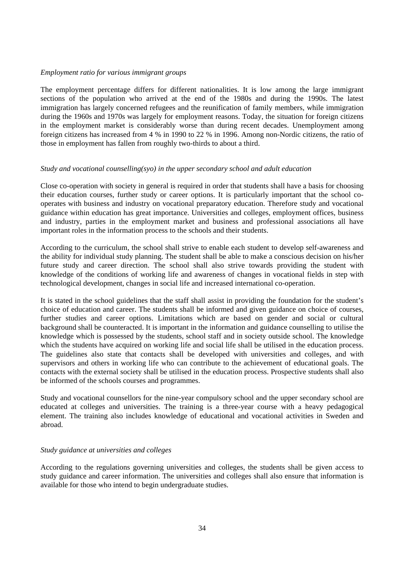#### *Employment ratio for various immigrant groups*

The employment percentage differs for different nationalities. It is low among the large immigrant sections of the population who arrived at the end of the 1980s and during the 1990s. The latest immigration has largely concerned refugees and the reunification of family members, while immigration during the 1960s and 1970s was largely for employment reasons. Today, the situation for foreign citizens in the employment market is considerably worse than during recent decades. Unemployment among foreign citizens has increased from 4 % in 1990 to 22 % in 1996. Among non-Nordic citizens, the ratio of those in employment has fallen from roughly two-thirds to about a third.

#### *Study and vocational counselling(syo) in the upper secondary school and adult education*

Close co-operation with society in general is required in order that students shall have a basis for choosing their education courses, further study or career options. It is particularly important that the school cooperates with business and industry on vocational preparatory education. Therefore study and vocational guidance within education has great importance. Universities and colleges, employment offices, business and industry, parties in the employment market and business and professional associations all have important roles in the information process to the schools and their students.

According to the curriculum, the school shall strive to enable each student to develop self-awareness and the ability for individual study planning. The student shall be able to make a conscious decision on his/her future study and career direction. The school shall also strive towards providing the student with knowledge of the conditions of working life and awareness of changes in vocational fields in step with technological development, changes in social life and increased international co-operation.

It is stated in the school guidelines that the staff shall assist in providing the foundation for the student's choice of education and career. The students shall be informed and given guidance on choice of courses, further studies and career options. Limitations which are based on gender and social or cultural background shall be counteracted. It is important in the information and guidance counselling to utilise the knowledge which is possessed by the students, school staff and in society outside school. The knowledge which the students have acquired on working life and social life shall be utilised in the education process. The guidelines also state that contacts shall be developed with universities and colleges, and with supervisors and others in working life who can contribute to the achievement of educational goals. The contacts with the external society shall be utilised in the education process. Prospective students shall also be informed of the schools courses and programmes.

Study and vocational counsellors for the nine-year compulsory school and the upper secondary school are educated at colleges and universities. The training is a three-year course with a heavy pedagogical element. The training also includes knowledge of educational and vocational activities in Sweden and abroad.

#### *Study guidance at universities and colleges*

According to the regulations governing universities and colleges, the students shall be given access to study guidance and career information. The universities and colleges shall also ensure that information is available for those who intend to begin undergraduate studies.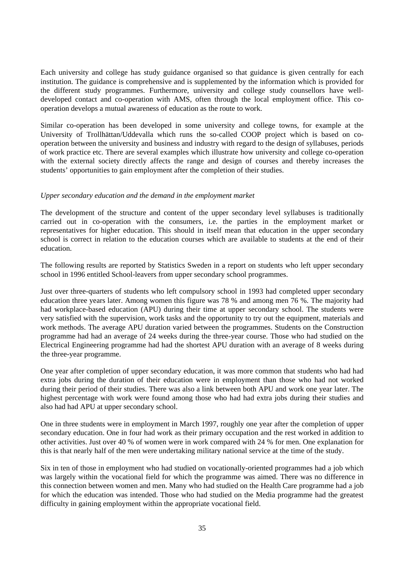Each university and college has study guidance organised so that guidance is given centrally for each institution. The guidance is comprehensive and is supplemented by the information which is provided for the different study programmes. Furthermore, university and college study counsellors have welldeveloped contact and co-operation with AMS, often through the local employment office. This cooperation develops a mutual awareness of education as the route to work.

Similar co-operation has been developed in some university and college towns, for example at the University of Trollhättan/Uddevalla which runs the so-called COOP project which is based on cooperation between the university and business and industry with regard to the design of syllabuses, periods of work practice etc. There are several examples which illustrate how university and college co-operation with the external society directly affects the range and design of courses and thereby increases the students' opportunities to gain employment after the completion of their studies.

#### *Upper secondary education and the demand in the employment market*

The development of the structure and content of the upper secondary level syllabuses is traditionally carried out in co-operation with the consumers, i.e. the parties in the employment market or representatives for higher education. This should in itself mean that education in the upper secondary school is correct in relation to the education courses which are available to students at the end of their education.

The following results are reported by Statistics Sweden in a report on students who left upper secondary school in 1996 entitled School-leavers from upper secondary school programmes.

Just over three-quarters of students who left compulsory school in 1993 had completed upper secondary education three years later. Among women this figure was 78 % and among men 76 %. The majority had had workplace-based education (APU) during their time at upper secondary school. The students were very satisfied with the supervision, work tasks and the opportunity to try out the equipment, materials and work methods. The average APU duration varied between the programmes. Students on the Construction programme had had an average of 24 weeks during the three-year course. Those who had studied on the Electrical Engineering programme had had the shortest APU duration with an average of 8 weeks during the three-year programme.

One year after completion of upper secondary education, it was more common that students who had had extra jobs during the duration of their education were in employment than those who had not worked during their period of their studies. There was also a link between both APU and work one year later. The highest percentage with work were found among those who had had extra jobs during their studies and also had had APU at upper secondary school.

One in three students were in employment in March 1997, roughly one year after the completion of upper secondary education. One in four had work as their primary occupation and the rest worked in addition to other activities. Just over 40 % of women were in work compared with 24 % for men. One explanation for this is that nearly half of the men were undertaking military national service at the time of the study.

Six in ten of those in employment who had studied on vocationally-oriented programmes had a job which was largely within the vocational field for which the programme was aimed. There was no difference in this connection between women and men. Many who had studied on the Health Care programme had a job for which the education was intended. Those who had studied on the Media programme had the greatest difficulty in gaining employment within the appropriate vocational field.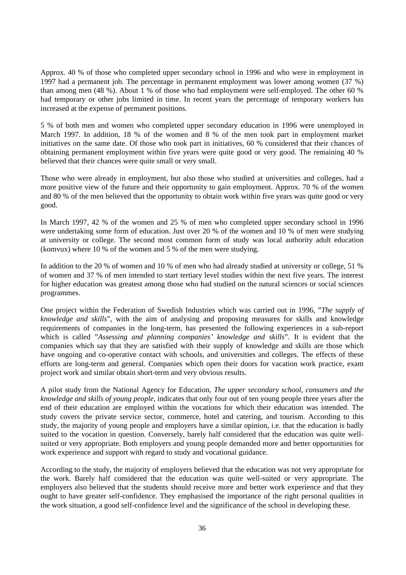Approx. 40 % of those who completed upper secondary school in 1996 and who were in employment in 1997 had a permanent job. The percentage in permanent employment was lower among women (37 %) than among men (48 %). About 1 % of those who had employment were self-employed. The other 60 % had temporary or other jobs limited in time. In recent years the percentage of temporary workers has increased at the expense of permanent positions.

5 % of both men and women who completed upper secondary education in 1996 were unemployed in March 1997. In addition, 18 % of the women and 8 % of the men took part in employment market initiatives on the same date. Of those who took part in initiatives, 60 % considered that their chances of obtaining permanent employment within five years were quite good or very good. The remaining 40 % believed that their chances were quite small or very small.

Those who were already in employment, but also those who studied at universities and colleges, had a more positive view of the future and their opportunity to gain employment. Approx. 70 % of the women and 80 % of the men believed that the opportunity to obtain work within five years was quite good or very good.

In March 1997, 42 % of the women and 25 % of men who completed upper secondary school in 1996 were undertaking some form of education. Just over 20 % of the women and 10 % of men were studying at university or college. The second most common form of study was local authority adult education (komvux) where 10 % of the women and 5 % of the men were studying.

In addition to the 20 % of women and 10 % of men who had already studied at university or college, 51 % of women and 37 % of men intended to start tertiary level studies within the next five years. The interest for higher education was greatest among those who had studied on the natural sciences or social sciences programmes.

One project within the Federation of Swedish Industries which was carried out in 1996, "*The supply of knowledge and skills*", with the aim of analysing and proposing measures for skills and knowledge requirements of companies in the long-term, has presented the following experiences in a sub-report which is called "*Assessing and planning companies' knowledge and skills*". It is evident that the companies which say that they are satisfied with their supply of knowledge and skills are those which have ongoing and co-operative contact with schools, and universities and colleges. The effects of these efforts are long-term and general. Companies which open their doors for vacation work practice, exam project work and similar obtain short-term and very obvious results.

A pilot study from the National Agency for Education, *The upper secondary school, consumers and the knowledge and skills of young people,* indicates that only four out of ten young people three years after the end of their education are employed within the vocations for which their education was intended. The study covers the private service sector, commerce, hotel and catering, and tourism. According to this study, the majority of young people and employers have a similar opinion, i.e. that the education is badly suited to the vocation in question. Conversely, barely half considered that the education was quite wellsuited or very appropriate. Both employers and young people demanded more and better opportunities for work experience and support with regard to study and vocational guidance.

According to the study, the majority of employers believed that the education was not very appropriate for the work. Barely half considered that the education was quite well-suited or very appropriate. The employers also believed that the students should receive more and better work experience and that they ought to have greater self-confidence. They emphasised the importance of the right personal qualities in the work situation, a good self-confidence level and the significance of the school in developing these.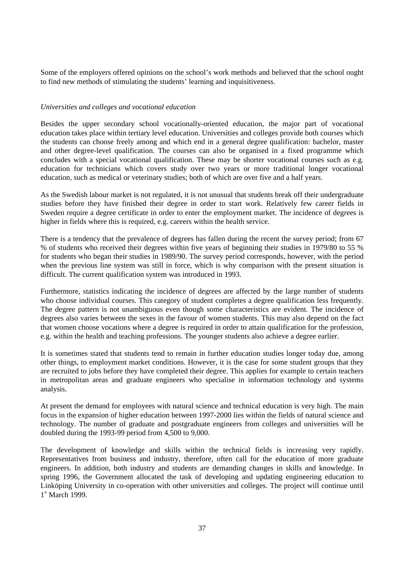Some of the employers offered opinions on the school's work methods and believed that the school ought to find new methods of stimulating the students' learning and inquisitiveness.

#### *Universities and colleges and vocational education*

Besides the upper secondary school vocationally-oriented education, the major part of vocational education takes place within tertiary level education. Universities and colleges provide both courses which the students can choose freely among and which end in a general degree qualification: bachelor, master and other degree-level qualification. The courses can also be organised in a fixed programme which concludes with a special vocational qualification. These may be shorter vocational courses such as e.g. education for technicians which covers study over two years or more traditional longer vocational education, such as medical or veterinary studies; both of which are over five and a half years.

As the Swedish labour market is not regulated, it is not unusual that students break off their undergraduate studies before they have finished their degree in order to start work. Relatively few career fields in Sweden require a degree certificate in order to enter the employment market. The incidence of degrees is higher in fields where this is required, e.g. careers within the health service.

There is a tendency that the prevalence of degrees has fallen during the recent the survey period; from 67 % of students who received their degrees within five years of beginning their studies in 1979/80 to 55 % for students who began their studies in 1989/90. The survey period corresponds, however, with the period when the previous line system was still in force, which is why comparison with the present situation is difficult. The current qualification system was introduced in 1993.

Furthermore, statistics indicating the incidence of degrees are affected by the large number of students who choose individual courses. This category of student completes a degree qualification less frequently. The degree pattern is not unambiguous even though some characteristics are evident. The incidence of degrees also varies between the sexes in the favour of women students. This may also depend on the fact that women choose vocations where a degree is required in order to attain qualification for the profession, e.g. within the health and teaching professions. The younger students also achieve a degree earlier.

It is sometimes stated that students tend to remain in further education studies longer today due, among other things, to employment market conditions. However, it is the case for some student groups that they are recruited to jobs before they have completed their degree. This applies for example to certain teachers in metropolitan areas and graduate engineers who specialise in information technology and systems analysis.

At present the demand for employees with natural science and technical education is very high. The main focus in the expansion of higher education between 1997-2000 lies within the fields of natural science and technology. The number of graduate and postgraduate engineers from colleges and universities will be doubled during the 1993-99 period from 4,500 to 9,000.

The development of knowledge and skills within the technical fields is increasing very rapidly. Representatives from business and industry, therefore, often call for the education of more graduate engineers. In addition, both industry and students are demanding changes in skills and knowledge. In spring 1996, the Government allocated the task of developing and updating engineering education to Linköping University in co-operation with other universities and colleges. The project will continue until 1st March 1999.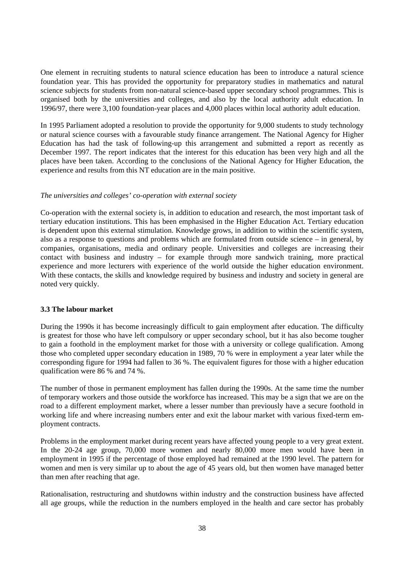One element in recruiting students to natural science education has been to introduce a natural science foundation year. This has provided the opportunity for preparatory studies in mathematics and natural science subjects for students from non-natural science-based upper secondary school programmes. This is organised both by the universities and colleges, and also by the local authority adult education. In 1996/97, there were 3,100 foundation-year places and 4,000 places within local authority adult education.

In 1995 Parliament adopted a resolution to provide the opportunity for 9,000 students to study technology or natural science courses with a favourable study finance arrangement. The National Agency for Higher Education has had the task of following-up this arrangement and submitted a report as recently as December 1997. The report indicates that the interest for this education has been very high and all the places have been taken. According to the conclusions of the National Agency for Higher Education, the experience and results from this NT education are in the main positive.

#### *The universities and colleges' co-operation with external society*

Co-operation with the external society is, in addition to education and research, the most important task of tertiary education institutions. This has been emphasised in the Higher Education Act. Tertiary education is dependent upon this external stimulation. Knowledge grows, in addition to within the scientific system, also as a response to questions and problems which are formulated from outside science – in general, by companies, organisations, media and ordinary people. Universities and colleges are increasing their contact with business and industry – for example through more sandwich training, more practical experience and more lecturers with experience of the world outside the higher education environment. With these contacts, the skills and knowledge required by business and industry and society in general are noted very quickly.

#### **3.3 The labour market**

During the 1990s it has become increasingly difficult to gain employment after education. The difficulty is greatest for those who have left compulsory or upper secondary school, but it has also become tougher to gain a foothold in the employment market for those with a university or college qualification. Among those who completed upper secondary education in 1989, 70 % were in employment a year later while the corresponding figure for 1994 had fallen to 36 %. The equivalent figures for those with a higher education qualification were 86 % and 74 %.

The number of those in permanent employment has fallen during the 1990s. At the same time the number of temporary workers and those outside the workforce has increased. This may be a sign that we are on the road to a different employment market, where a lesser number than previously have a secure foothold in working life and where increasing numbers enter and exit the labour market with various fixed-term employment contracts.

Problems in the employment market during recent years have affected young people to a very great extent. In the 20-24 age group, 70,000 more women and nearly 80,000 more men would have been in employment in 1995 if the percentage of those employed had remained at the 1990 level. The pattern for women and men is very similar up to about the age of 45 years old, but then women have managed better than men after reaching that age.

Rationalisation, restructuring and shutdowns within industry and the construction business have affected all age groups, while the reduction in the numbers employed in the health and care sector has probably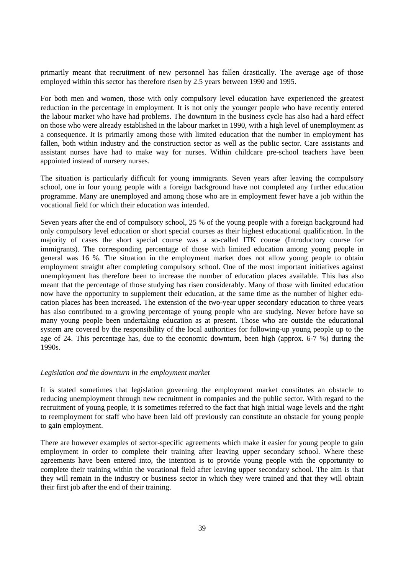primarily meant that recruitment of new personnel has fallen drastically. The average age of those employed within this sector has therefore risen by 2.5 years between 1990 and 1995.

For both men and women, those with only compulsory level education have experienced the greatest reduction in the percentage in employment. It is not only the younger people who have recently entered the labour market who have had problems. The downturn in the business cycle has also had a hard effect on those who were already established in the labour market in 1990, with a high level of unemployment as a consequence. It is primarily among those with limited education that the number in employment has fallen, both within industry and the construction sector as well as the public sector. Care assistants and assistant nurses have had to make way for nurses. Within childcare pre-school teachers have been appointed instead of nursery nurses.

The situation is particularly difficult for young immigrants. Seven years after leaving the compulsory school, one in four young people with a foreign background have not completed any further education programme. Many are unemployed and among those who are in employment fewer have a job within the vocational field for which their education was intended.

Seven years after the end of compulsory school, 25 % of the young people with a foreign background had only compulsory level education or short special courses as their highest educational qualification. In the majority of cases the short special course was a so-called ITK course (Introductory course for immigrants). The corresponding percentage of those with limited education among young people in general was 16 %. The situation in the employment market does not allow young people to obtain employment straight after completing compulsory school. One of the most important initiatives against unemployment has therefore been to increase the number of education places available. This has also meant that the percentage of those studying has risen considerably. Many of those with limited education now have the opportunity to supplement their education, at the same time as the number of higher education places has been increased. The extension of the two-year upper secondary education to three years has also contributed to a growing percentage of young people who are studying. Never before have so many young people been undertaking education as at present. Those who are outside the educational system are covered by the responsibility of the local authorities for following-up young people up to the age of 24. This percentage has, due to the economic downturn, been high (approx. 6-7 %) during the 1990s.

#### *Legislation and the downturn in the employment market*

It is stated sometimes that legislation governing the employment market constitutes an obstacle to reducing unemployment through new recruitment in companies and the public sector. With regard to the recruitment of young people, it is sometimes referred to the fact that high initial wage levels and the right to reemployment for staff who have been laid off previously can constitute an obstacle for young people to gain employment.

There are however examples of sector-specific agreements which make it easier for young people to gain employment in order to complete their training after leaving upper secondary school. Where these agreements have been entered into, the intention is to provide young people with the opportunity to complete their training within the vocational field after leaving upper secondary school. The aim is that they will remain in the industry or business sector in which they were trained and that they will obtain their first job after the end of their training.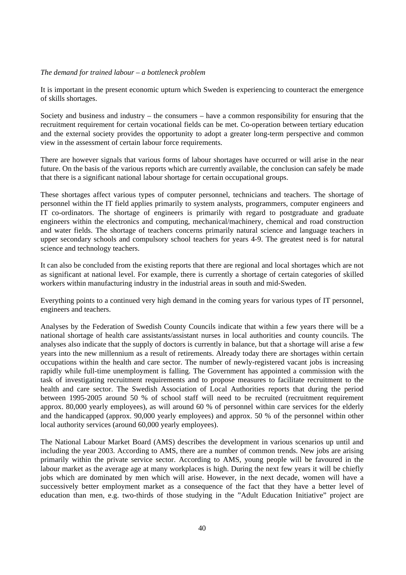#### *The demand for trained labour – a bottleneck problem*

It is important in the present economic upturn which Sweden is experiencing to counteract the emergence of skills shortages.

Society and business and industry – the consumers – have a common responsibility for ensuring that the recruitment requirement for certain vocational fields can be met. Co-operation between tertiary education and the external society provides the opportunity to adopt a greater long-term perspective and common view in the assessment of certain labour force requirements.

There are however signals that various forms of labour shortages have occurred or will arise in the near future. On the basis of the various reports which are currently available, the conclusion can safely be made that there is a significant national labour shortage for certain occupational groups.

These shortages affect various types of computer personnel, technicians and teachers. The shortage of personnel within the IT field applies primarily to system analysts, programmers, computer engineers and IT co-ordinators. The shortage of engineers is primarily with regard to postgraduate and graduate engineers within the electronics and computing, mechanical/machinery, chemical and road construction and water fields. The shortage of teachers concerns primarily natural science and language teachers in upper secondary schools and compulsory school teachers for years 4-9. The greatest need is for natural science and technology teachers.

It can also be concluded from the existing reports that there are regional and local shortages which are not as significant at national level. For example, there is currently a shortage of certain categories of skilled workers within manufacturing industry in the industrial areas in south and mid-Sweden.

Everything points to a continued very high demand in the coming years for various types of IT personnel, engineers and teachers.

Analyses by the Federation of Swedish County Councils indicate that within a few years there will be a national shortage of health care assistants/assistant nurses in local authorities and county councils. The analyses also indicate that the supply of doctors is currently in balance, but that a shortage will arise a few years into the new millennium as a result of retirements. Already today there are shortages within certain occupations within the health and care sector. The number of newly-registered vacant jobs is increasing rapidly while full-time unemployment is falling. The Government has appointed a commission with the task of investigating recruitment requirements and to propose measures to facilitate recruitment to the health and care sector. The Swedish Association of Local Authorities reports that during the period between 1995-2005 around 50 % of school staff will need to be recruited (recruitment requirement approx. 80,000 yearly employees), as will around 60 % of personnel within care services for the elderly and the handicapped (approx. 90,000 yearly employees) and approx. 50 % of the personnel within other local authority services (around 60,000 yearly employees).

The National Labour Market Board (AMS) describes the development in various scenarios up until and including the year 2003. According to AMS, there are a number of common trends. New jobs are arising primarily within the private service sector. According to AMS, young people will be favoured in the labour market as the average age at many workplaces is high. During the next few years it will be chiefly jobs which are dominated by men which will arise. However, in the next decade, women will have a successively better employment market as a consequence of the fact that they have a better level of education than men, e.g. two-thirds of those studying in the "Adult Education Initiative" project are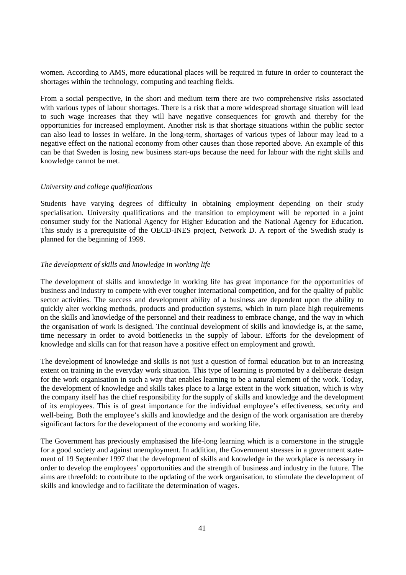women. According to AMS, more educational places will be required in future in order to counteract the shortages within the technology, computing and teaching fields.

From a social perspective, in the short and medium term there are two comprehensive risks associated with various types of labour shortages. There is a risk that a more widespread shortage situation will lead to such wage increases that they will have negative consequences for growth and thereby for the opportunities for increased employment. Another risk is that shortage situations within the public sector can also lead to losses in welfare. In the long-term, shortages of various types of labour may lead to a negative effect on the national economy from other causes than those reported above. An example of this can be that Sweden is losing new business start-ups because the need for labour with the right skills and knowledge cannot be met.

#### *University and college qualifications*

Students have varying degrees of difficulty in obtaining employment depending on their study specialisation. University qualifications and the transition to employment will be reported in a joint consumer study for the National Agency for Higher Education and the National Agency for Education. This study is a prerequisite of the OECD-INES project, Network D. A report of the Swedish study is planned for the beginning of 1999.

#### *The development of skills and knowledge in working life*

The development of skills and knowledge in working life has great importance for the opportunities of business and industry to compete with ever tougher international competition, and for the quality of public sector activities. The success and development ability of a business are dependent upon the ability to quickly alter working methods, products and production systems, which in turn place high requirements on the skills and knowledge of the personnel and their readiness to embrace change, and the way in which the organisation of work is designed. The continual development of skills and knowledge is, at the same, time necessary in order to avoid bottlenecks in the supply of labour. Efforts for the development of knowledge and skills can for that reason have a positive effect on employment and growth.

The development of knowledge and skills is not just a question of formal education but to an increasing extent on training in the everyday work situation. This type of learning is promoted by a deliberate design for the work organisation in such a way that enables learning to be a natural element of the work. Today, the development of knowledge and skills takes place to a large extent in the work situation, which is why the company itself has the chief responsibility for the supply of skills and knowledge and the development of its employees. This is of great importance for the individual employee's effectiveness, security and well-being. Both the employee's skills and knowledge and the design of the work organisation are thereby significant factors for the development of the economy and working life.

The Government has previously emphasised the life-long learning which is a cornerstone in the struggle for a good society and against unemployment. In addition, the Government stresses in a government statement of 19 September 1997 that the development of skills and knowledge in the workplace is necessary in order to develop the employees' opportunities and the strength of business and industry in the future. The aims are threefold: to contribute to the updating of the work organisation, to stimulate the development of skills and knowledge and to facilitate the determination of wages.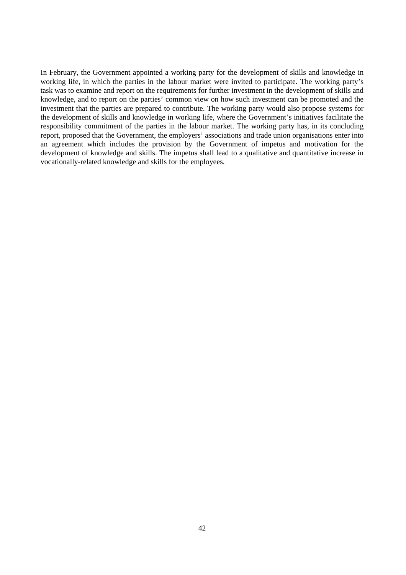In February, the Government appointed a working party for the development of skills and knowledge in working life, in which the parties in the labour market were invited to participate. The working party's task was to examine and report on the requirements for further investment in the development of skills and knowledge, and to report on the parties' common view on how such investment can be promoted and the investment that the parties are prepared to contribute. The working party would also propose systems for the development of skills and knowledge in working life, where the Government's initiatives facilitate the responsibility commitment of the parties in the labour market. The working party has, in its concluding report, proposed that the Government, the employers' associations and trade union organisations enter into an agreement which includes the provision by the Government of impetus and motivation for the development of knowledge and skills. The impetus shall lead to a qualitative and quantitative increase in vocationally-related knowledge and skills for the employees.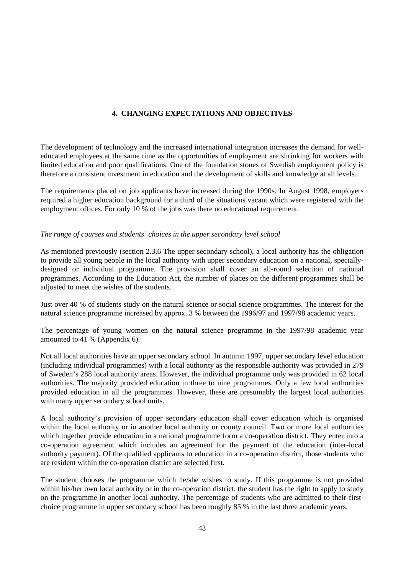#### **4. CHANGING EXPECTATIONS AND OBJECTIVES**

The development of technology and the increased international integration increases the demand for welleducated employees at the same time as the opportunities of employment are shrinking for workers with limited education and poor qualifications. One of the foundation stones of Swedish employment policy is therefore a consistent investment in education and the development of skills and knowledge at all levels.

The requirements placed on job applicants have increased during the 1990s. In August 1998, employers required a higher education background for a third of the situations vacant which were registered with the employment offices. For only 10 % of the jobs was there no educational requirement.

#### *The range of courses and students' choices in the upper secondary level school*

As mentioned previously (section 2.3.6 The upper secondary school), a local authority has the obligation to provide all young people in the local authority with upper secondary education on a national, speciallydesigned or individual programme. The provision shall cover an all-round selection of national programmes. According to the Education Act, the number of places on the different programmes shall be adjusted to meet the wishes of the students.

Just over 40 % of students study on the natural science or social science programmes. The interest for the natural science programme increased by approx. 3 % between the 1996/97 and 1997/98 academic years.

The percentage of young women on the natural science programme in the 1997/98 academic year amounted to 41 % (Appendix 6).

Not all local authorities have an upper secondary school. In autumn 1997, upper secondary level education (including individual programmes) with a local authority as the responsible authority was provided in 279 of Sweden's 288 local authority areas. However, the individual programme only was provided in 62 local authorities. The majority provided education in three to nine programmes. Only a few local authorities provided education in all the programmes. However, these are presumably the largest local authorities with many upper secondary school units.

A local authority's provision of upper secondary education shall cover education which is organised within the local authority or in another local authority or county council. Two or more local authorities which together provide education in a national programme form a co-operation district. They enter into a co-operation agreement which includes an agreement for the payment of the education (inter-local authority payment). Of the qualified applicants to education in a co-operation district, those students who are resident within the co-operation district are selected first.

The student chooses the programme which he/she wishes to study. If this programme is not provided within his/her own local authority or in the co-operation district, the student has the right to apply to study on the programme in another local authority. The percentage of students who are admitted to their firstchoice programme in upper secondary school has been roughly 85 % in the last three academic years.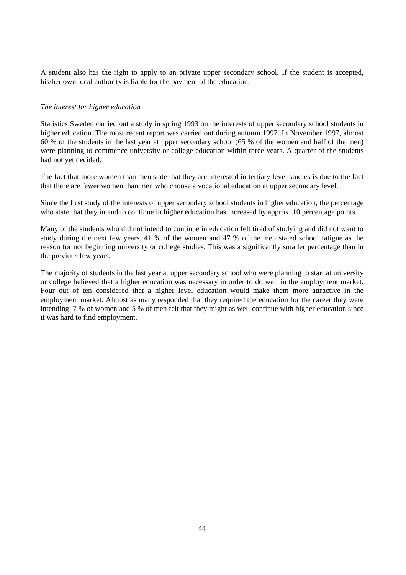A student also has the right to apply to an private upper secondary school. If the student is accepted, his/her own local authority is liable for the payment of the education.

#### *The interest for higher education*

Statistics Sweden carried out a study in spring 1993 on the interests of upper secondary school students in higher education. The most recent report was carried out during autumn 1997. In November 1997, almost 60 % of the students in the last year at upper secondary school (65 % of the women and half of the men) were planning to commence university or college education within three years. A quarter of the students had not yet decided.

The fact that more women than men state that they are interested in tertiary level studies is due to the fact that there are fewer women than men who choose a vocational education at upper secondary level.

Since the first study of the interests of upper secondary school students in higher education, the percentage who state that they intend to continue in higher education has increased by approx. 10 percentage points.

Many of the students who did not intend to continue in education felt tired of studying and did not want to study during the next few years. 41 % of the women and 47 % of the men stated school fatigue as the reason for not beginning university or college studies. This was a significantly smaller percentage than in the previous few years.

The majority of students in the last year at upper secondary school who were planning to start at university or college believed that a higher education was necessary in order to do well in the employment market. Four out of ten considered that a higher level education would make them more attractive in the employment market. Almost as many responded that they required the education for the career they were intending. 7 % of women and 5 % of men felt that they might as well continue with higher education since it was hard to find employment.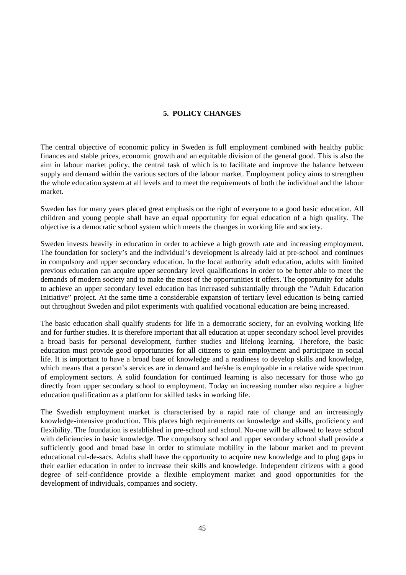#### **5. POLICY CHANGES**

The central objective of economic policy in Sweden is full employment combined with healthy public finances and stable prices, economic growth and an equitable division of the general good. This is also the aim in labour market policy, the central task of which is to facilitate and improve the balance between supply and demand within the various sectors of the labour market. Employment policy aims to strengthen the whole education system at all levels and to meet the requirements of both the individual and the labour market.

Sweden has for many years placed great emphasis on the right of everyone to a good basic education. All children and young people shall have an equal opportunity for equal education of a high quality. The objective is a democratic school system which meets the changes in working life and society.

Sweden invests heavily in education in order to achieve a high growth rate and increasing employment. The foundation for society's and the individual's development is already laid at pre-school and continues in compulsory and upper secondary education. In the local authority adult education, adults with limited previous education can acquire upper secondary level qualifications in order to be better able to meet the demands of modern society and to make the most of the opportunities it offers. The opportunity for adults to achieve an upper secondary level education has increased substantially through the "Adult Education Initiative" project. At the same time a considerable expansion of tertiary level education is being carried out throughout Sweden and pilot experiments with qualified vocational education are being increased.

The basic education shall qualify students for life in a democratic society, for an evolving working life and for further studies. It is therefore important that all education at upper secondary school level provides a broad basis for personal development, further studies and lifelong learning. Therefore, the basic education must provide good opportunities for all citizens to gain employment and participate in social life. It is important to have a broad base of knowledge and a readiness to develop skills and knowledge, which means that a person's services are in demand and he/she is employable in a relative wide spectrum of employment sectors. A solid foundation for continued learning is also necessary for those who go directly from upper secondary school to employment. Today an increasing number also require a higher education qualification as a platform for skilled tasks in working life.

The Swedish employment market is characterised by a rapid rate of change and an increasingly knowledge-intensive production. This places high requirements on knowledge and skills, proficiency and flexibility. The foundation is established in pre-school and school. No-one will be allowed to leave school with deficiencies in basic knowledge. The compulsory school and upper secondary school shall provide a sufficiently good and broad base in order to stimulate mobility in the labour market and to prevent educational cul-de-sacs. Adults shall have the opportunity to acquire new knowledge and to plug gaps in their earlier education in order to increase their skills and knowledge. Independent citizens with a good degree of self-confidence provide a flexible employment market and good opportunities for the development of individuals, companies and society.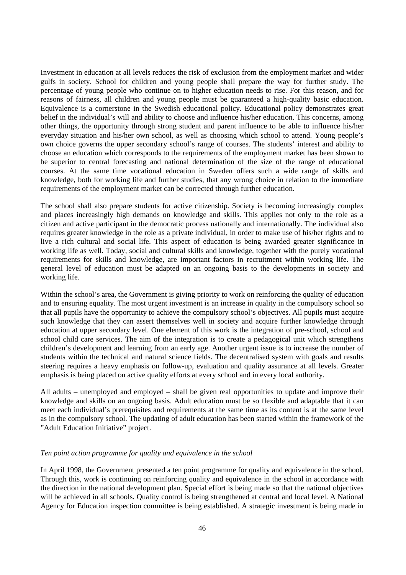Investment in education at all levels reduces the risk of exclusion from the employment market and wider gulfs in society. School for children and young people shall prepare the way for further study. The percentage of young people who continue on to higher education needs to rise. For this reason, and for reasons of fairness, all children and young people must be guaranteed a high-quality basic education. Equivalence is a cornerstone in the Swedish educational policy. Educational policy demonstrates great belief in the individual's will and ability to choose and influence his/her education. This concerns, among other things, the opportunity through strong student and parent influence to be able to influence his/her everyday situation and his/her own school, as well as choosing which school to attend. Young people's own choice governs the upper secondary school's range of courses. The students' interest and ability to choose an education which corresponds to the requirements of the employment market has been shown to be superior to central forecasting and national determination of the size of the range of educational courses. At the same time vocational education in Sweden offers such a wide range of skills and knowledge, both for working life and further studies, that any wrong choice in relation to the immediate requirements of the employment market can be corrected through further education.

The school shall also prepare students for active citizenship. Society is becoming increasingly complex and places increasingly high demands on knowledge and skills. This applies not only to the role as a citizen and active participant in the democratic process nationally and internationally. The individual also requires greater knowledge in the role as a private individual, in order to make use of his/her rights and to live a rich cultural and social life. This aspect of education is being awarded greater significance in working life as well. Today, social and cultural skills and knowledge, together with the purely vocational requirements for skills and knowledge, are important factors in recruitment within working life. The general level of education must be adapted on an ongoing basis to the developments in society and working life.

Within the school's area, the Government is giving priority to work on reinforcing the quality of education and to ensuring equality. The most urgent investment is an increase in quality in the compulsory school so that all pupils have the opportunity to achieve the compulsory school's objectives. All pupils must acquire such knowledge that they can assert themselves well in society and acquire further knowledge through education at upper secondary level. One element of this work is the integration of pre-school, school and school child care services. The aim of the integration is to create a pedagogical unit which strengthens children's development and learning from an early age. Another urgent issue is to increase the number of students within the technical and natural science fields. The decentralised system with goals and results steering requires a heavy emphasis on follow-up, evaluation and quality assurance at all levels. Greater emphasis is being placed on active quality efforts at every school and in every local authority.

All adults – unemployed and employed – shall be given real opportunities to update and improve their knowledge and skills on an ongoing basis. Adult education must be so flexible and adaptable that it can meet each individual's prerequisites and requirements at the same time as its content is at the same level as in the compulsory school. The updating of adult education has been started within the framework of the "Adult Education Initiative" project.

#### *Ten point action programme for quality and equivalence in the school*

In April 1998, the Government presented a ten point programme for quality and equivalence in the school. Through this, work is continuing on reinforcing quality and equivalence in the school in accordance with the direction in the national development plan. Special effort is being made so that the national objectives will be achieved in all schools. Quality control is being strengthened at central and local level. A National Agency for Education inspection committee is being established. A strategic investment is being made in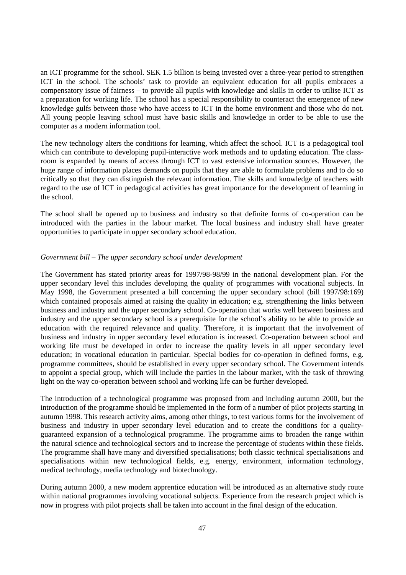an ICT programme for the school. SEK 1.5 billion is being invested over a three-year period to strengthen ICT in the school. The schools' task to provide an equivalent education for all pupils embraces a compensatory issue of fairness – to provide all pupils with knowledge and skills in order to utilise ICT as a preparation for working life. The school has a special responsibility to counteract the emergence of new knowledge gulfs between those who have access to ICT in the home environment and those who do not. All young people leaving school must have basic skills and knowledge in order to be able to use the computer as a modern information tool.

The new technology alters the conditions for learning, which affect the school. ICT is a pedagogical tool which can contribute to developing pupil-interactive work methods and to updating education. The classroom is expanded by means of access through ICT to vast extensive information sources. However, the huge range of information places demands on pupils that they are able to formulate problems and to do so critically so that they can distinguish the relevant information. The skills and knowledge of teachers with regard to the use of ICT in pedagogical activities has great importance for the development of learning in the school.

The school shall be opened up to business and industry so that definite forms of co-operation can be introduced with the parties in the labour market. The local business and industry shall have greater opportunities to participate in upper secondary school education.

#### *Government bill – The upper secondary school under development*

The Government has stated priority areas for 1997/98-98/99 in the national development plan. For the upper secondary level this includes developing the quality of programmes with vocational subjects. In May 1998, the Government presented a bill concerning the upper secondary school (bill 1997/98:169) which contained proposals aimed at raising the quality in education; e.g. strengthening the links between business and industry and the upper secondary school. Co-operation that works well between business and industry and the upper secondary school is a prerequisite for the school's ability to be able to provide an education with the required relevance and quality. Therefore, it is important that the involvement of business and industry in upper secondary level education is increased. Co-operation between school and working life must be developed in order to increase the quality levels in all upper secondary level education; in vocational education in particular. Special bodies for co-operation in defined forms, e.g. programme committees, should be established in every upper secondary school. The Government intends to appoint a special group, which will include the parties in the labour market, with the task of throwing light on the way co-operation between school and working life can be further developed.

The introduction of a technological programme was proposed from and including autumn 2000, but the introduction of the programme should be implemented in the form of a number of pilot projects starting in autumn 1998. This research activity aims, among other things, to test various forms for the involvement of business and industry in upper secondary level education and to create the conditions for a qualityguaranteed expansion of a technological programme. The programme aims to broaden the range within the natural science and technological sectors and to increase the percentage of students within these fields. The programme shall have many and diversified specialisations; both classic technical specialisations and specialisations within new technological fields, e.g. energy, environment, information technology, medical technology, media technology and biotechnology.

During autumn 2000, a new modern apprentice education will be introduced as an alternative study route within national programmes involving vocational subjects. Experience from the research project which is now in progress with pilot projects shall be taken into account in the final design of the education.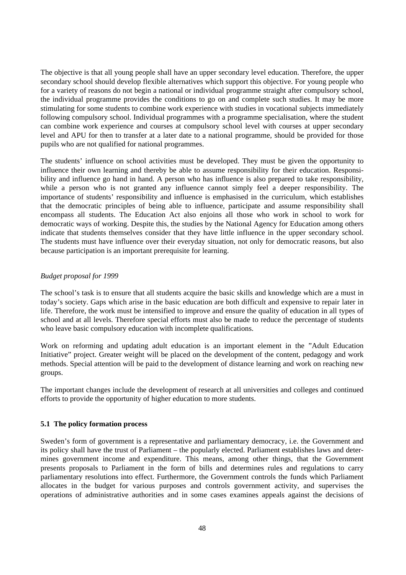The objective is that all young people shall have an upper secondary level education. Therefore, the upper secondary school should develop flexible alternatives which support this objective. For young people who for a variety of reasons do not begin a national or individual programme straight after compulsory school, the individual programme provides the conditions to go on and complete such studies. It may be more stimulating for some students to combine work experience with studies in vocational subjects immediately following compulsory school. Individual programmes with a programme specialisation, where the student can combine work experience and courses at compulsory school level with courses at upper secondary level and APU for then to transfer at a later date to a national programme, should be provided for those pupils who are not qualified for national programmes.

The students' influence on school activities must be developed. They must be given the opportunity to influence their own learning and thereby be able to assume responsibility for their education. Responsibility and influence go hand in hand. A person who has influence is also prepared to take responsibility, while a person who is not granted any influence cannot simply feel a deeper responsibility. The importance of students' responsibility and influence is emphasised in the curriculum, which establishes that the democratic principles of being able to influence, participate and assume responsibility shall encompass all students. The Education Act also enjoins all those who work in school to work for democratic ways of working. Despite this, the studies by the National Agency for Education among others indicate that students themselves consider that they have little influence in the upper secondary school. The students must have influence over their everyday situation, not only for democratic reasons, but also because participation is an important prerequisite for learning.

#### *Budget proposal for 1999*

The school's task is to ensure that all students acquire the basic skills and knowledge which are a must in today's society. Gaps which arise in the basic education are both difficult and expensive to repair later in life. Therefore, the work must be intensified to improve and ensure the quality of education in all types of school and at all levels. Therefore special efforts must also be made to reduce the percentage of students who leave basic compulsory education with incomplete qualifications.

Work on reforming and updating adult education is an important element in the "Adult Education Initiative" project. Greater weight will be placed on the development of the content, pedagogy and work methods. Special attention will be paid to the development of distance learning and work on reaching new groups.

The important changes include the development of research at all universities and colleges and continued efforts to provide the opportunity of higher education to more students.

#### **5.1 The policy formation process**

Sweden's form of government is a representative and parliamentary democracy, i.e. the Government and its policy shall have the trust of Parliament – the popularly elected. Parliament establishes laws and determines government income and expenditure. This means, among other things, that the Government presents proposals to Parliament in the form of bills and determines rules and regulations to carry parliamentary resolutions into effect. Furthermore, the Government controls the funds which Parliament allocates in the budget for various purposes and controls government activity, and supervises the operations of administrative authorities and in some cases examines appeals against the decisions of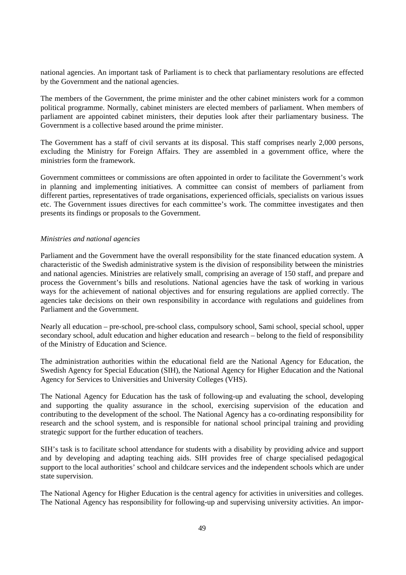national agencies. An important task of Parliament is to check that parliamentary resolutions are effected by the Government and the national agencies.

The members of the Government, the prime minister and the other cabinet ministers work for a common political programme. Normally, cabinet ministers are elected members of parliament. When members of parliament are appointed cabinet ministers, their deputies look after their parliamentary business. The Government is a collective based around the prime minister.

The Government has a staff of civil servants at its disposal. This staff comprises nearly 2,000 persons, excluding the Ministry for Foreign Affairs. They are assembled in a government office, where the ministries form the framework.

Government committees or commissions are often appointed in order to facilitate the Government's work in planning and implementing initiatives. A committee can consist of members of parliament from different parties, representatives of trade organisations, experienced officials, specialists on various issues etc. The Government issues directives for each committee's work. The committee investigates and then presents its findings or proposals to the Government.

#### *Ministries and national agencies*

Parliament and the Government have the overall responsibility for the state financed education system. A characteristic of the Swedish administrative system is the division of responsibility between the ministries and national agencies. Ministries are relatively small, comprising an average of 150 staff, and prepare and process the Government's bills and resolutions. National agencies have the task of working in various ways for the achievement of national objectives and for ensuring regulations are applied correctly. The agencies take decisions on their own responsibility in accordance with regulations and guidelines from Parliament and the Government.

Nearly all education – pre-school, pre-school class, compulsory school, Sami school, special school, upper secondary school, adult education and higher education and research – belong to the field of responsibility of the Ministry of Education and Science.

The administration authorities within the educational field are the National Agency for Education, the Swedish Agency for Special Education (SIH), the National Agency for Higher Education and the National Agency for Services to Universities and University Colleges (VHS).

The National Agency for Education has the task of following-up and evaluating the school, developing and supporting the quality assurance in the school, exercising supervision of the education and contributing to the development of the school. The National Agency has a co-ordinating responsibility for research and the school system, and is responsible for national school principal training and providing strategic support for the further education of teachers.

SIH's task is to facilitate school attendance for students with a disability by providing advice and support and by developing and adapting teaching aids. SIH provides free of charge specialised pedagogical support to the local authorities' school and childcare services and the independent schools which are under state supervision.

The National Agency for Higher Education is the central agency for activities in universities and colleges. The National Agency has responsibility for following-up and supervising university activities. An impor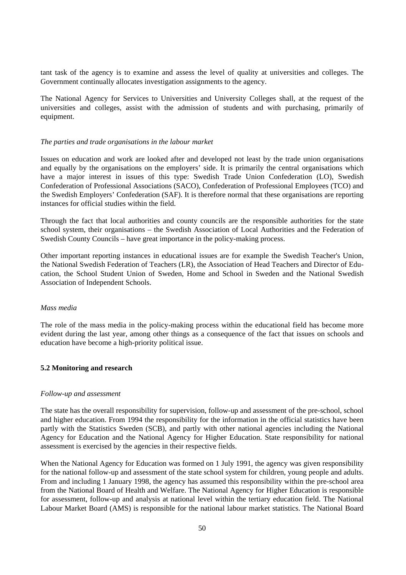tant task of the agency is to examine and assess the level of quality at universities and colleges. The Government continually allocates investigation assignments to the agency.

The National Agency for Services to Universities and University Colleges shall, at the request of the universities and colleges, assist with the admission of students and with purchasing, primarily of equipment.

#### *The parties and trade organisations in the labour market*

Issues on education and work are looked after and developed not least by the trade union organisations and equally by the organisations on the employers' side. It is primarily the central organisations which have a major interest in issues of this type: Swedish Trade Union Confederation (LO), Swedish Confederation of Professional Associations (SACO), Confederation of Professional Employees (TCO) and the Swedish Employers' Confederation (SAF). It is therefore normal that these organisations are reporting instances for official studies within the field.

Through the fact that local authorities and county councils are the responsible authorities for the state school system, their organisations – the Swedish Association of Local Authorities and the Federation of Swedish County Councils – have great importance in the policy-making process.

Other important reporting instances in educational issues are for example the Swedish Teacher's Union, the National Swedish Federation of Teachers (LR), the Association of Head Teachers and Director of Education, the School Student Union of Sweden, Home and School in Sweden and the National Swedish Association of Independent Schools.

#### *Mass media*

The role of the mass media in the policy-making process within the educational field has become more evident during the last year, among other things as a consequence of the fact that issues on schools and education have become a high-priority political issue.

#### **5.2 Monitoring and research**

#### *Follow-up and assessment*

The state has the overall responsibility for supervision, follow-up and assessment of the pre-school, school and higher education. From 1994 the responsibility for the information in the official statistics have been partly with the Statistics Sweden (SCB), and partly with other national agencies including the National Agency for Education and the National Agency for Higher Education. State responsibility for national assessment is exercised by the agencies in their respective fields.

When the National Agency for Education was formed on 1 July 1991, the agency was given responsibility for the national follow-up and assessment of the state school system for children, young people and adults. From and including 1 January 1998, the agency has assumed this responsibility within the pre-school area from the National Board of Health and Welfare. The National Agency for Higher Education is responsible for assessment, follow-up and analysis at national level within the tertiary education field. The National Labour Market Board (AMS) is responsible for the national labour market statistics. The National Board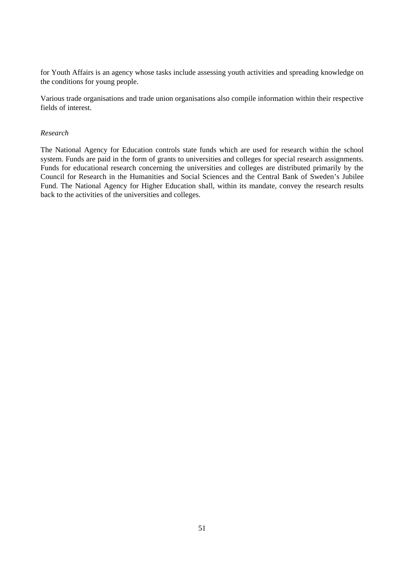for Youth Affairs is an agency whose tasks include assessing youth activities and spreading knowledge on the conditions for young people.

Various trade organisations and trade union organisations also compile information within their respective fields of interest.

#### *Research*

The National Agency for Education controls state funds which are used for research within the school system. Funds are paid in the form of grants to universities and colleges for special research assignments. Funds for educational research concerning the universities and colleges are distributed primarily by the Council for Research in the Humanities and Social Sciences and the Central Bank of Sweden's Jubilee Fund. The National Agency for Higher Education shall, within its mandate, convey the research results back to the activities of the universities and colleges.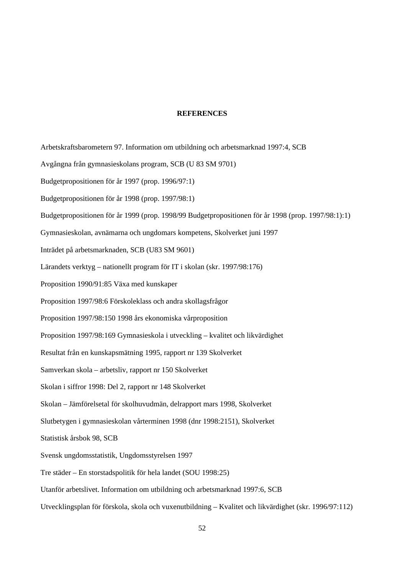#### **REFERENCES**

Arbetskraftsbarometern 97. Information om utbildning och arbetsmarknad 1997:4, SCB Avgångna från gymnasieskolans program, SCB (U 83 SM 9701) Budgetpropositionen för år 1997 (prop. 1996/97:1) Budgetpropositionen för år 1998 (prop. 1997/98:1) Budgetpropositionen för år 1999 (prop. 1998/99 Budgetpropositionen för år 1998 (prop. 1997/98:1):1) Gymnasieskolan, avnämarna och ungdomars kompetens, Skolverket juni 1997 Inträdet på arbetsmarknaden, SCB (U83 SM 9601) Lärandets verktyg – nationellt program för IT i skolan (skr. 1997/98:176) Proposition 1990/91:85 Växa med kunskaper Proposition 1997/98:6 Förskoleklass och andra skollagsfrågor Proposition 1997/98:150 1998 års ekonomiska vårproposition Proposition 1997/98:169 Gymnasieskola i utveckling – kvalitet och likvärdighet Resultat från en kunskapsmätning 1995, rapport nr 139 Skolverket Samverkan skola – arbetsliv, rapport nr 150 Skolverket Skolan i siffror 1998: Del 2, rapport nr 148 Skolverket Skolan – Jämförelsetal för skolhuvudmän, delrapport mars 1998, Skolverket Slutbetygen i gymnasieskolan vårterminen 1998 (dnr 1998:2151), Skolverket Statistisk årsbok 98, SCB Svensk ungdomsstatistik, Ungdomsstyrelsen 1997 Tre städer – En storstadspolitik för hela landet (SOU 1998:25) Utanför arbetslivet. Information om utbildning och arbetsmarknad 1997:6, SCB Utvecklingsplan för förskola, skola och vuxenutbildning – Kvalitet och likvärdighet (skr. 1996/97:112)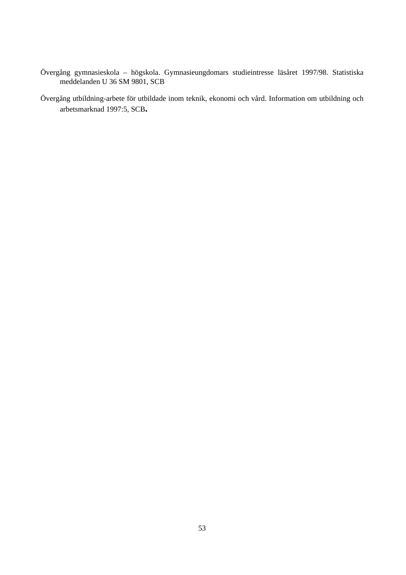- Övergång gymnasieskola högskola. Gymnasieungdomars studieintresse läsåret 1997/98. Statistiska meddelanden U 36 SM 9801, SCB
- Övergång utbildning-arbete för utbildade inom teknik, ekonomi och vård. Information om utbildning och arbetsmarknad 1997:5, SCB**.**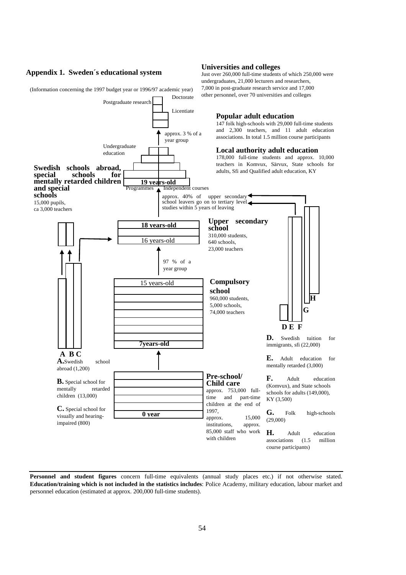#### **Appendix 1. Sweden´s educational system**

(Information concerning the 1997 budget year or 1996/97 academic year)

#### **Popular adult education** 147 folk high-schools with 29,000 full-time students and 2,300 teachers, and 11 adult education associations. In total 1.5 million course participants **Local authority adult education** 178,000 full-time students and approx. 10,000 teachers in Komvux, Särvux, State schools for adults, Sfi and Qualified adult education, KY Doctorate Licentiate approx. 3 % of a year group Programmes 1 Independent courses Undergraduate education approx. 40% of upper secondary school leavers go on to tertiary level studies within 5 years of leaving **Upper secondary school** 310,000 students, 640 schools, 23,000 teachers **Compulsory school** 960,000 students, 5,000 schools, 74,000 teachers **Pre-school/ Child care** approx. 753,000 fulltime and part-time children at the end of 1997, approx. 15,000 institutions, approx. 85,000 staff who work with children **Swedish schools abroad,** schools **mentally retarded children and special schools** 15,000 pupils, ca 3,000 teachers **D.** Swedish tuition for immigrants, sfi (22,000) **E.** Adult education for mentally retarded (3,000) **F.** Adult education (Komvux), and State schools schools for adults (149,000), KY (3,500) **G.** Folk high-schools (29,000) **H.** Adult education associations (1.5 million course participants) **DE F G H** Postgraduate research **A BC A.**Swedish school abroad (1,200) **B.** Special school for<br>mentally retarded mentally children (13,000) **C.** Special school for visually and hearingimpaired (800) **19 years-old 18 years-old** 16 years-old 15 years-old **7years-old 0 year** 97 % of a year group

**Universities and colleges**

Just over 260,000 full-time students of which 250,000 were undergraduates, 21,000 lecturers and researchers, 7,000 in post-graduate research service and 17,000 other personnel, over 70 universities and colleges

**Personnel and student figures** concern full-time equivalents (annual study places etc.) if not otherwise stated. **Education/training which is not included in the statistics includes**: Police Academy, military education, labour market and personnel education (estimated at approx. 200,000 full-time students).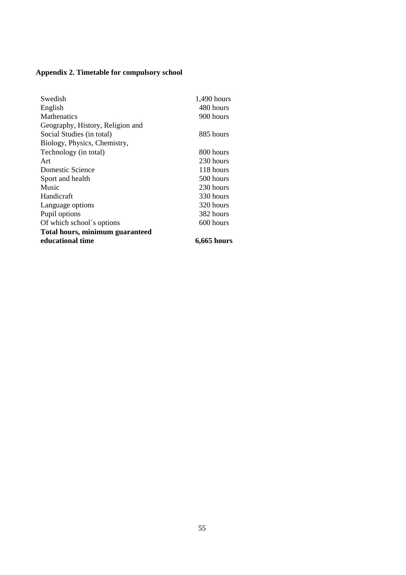## **Appendix 2. Timetable for compulsory school**

| Swedish                                | 1,490 hours        |
|----------------------------------------|--------------------|
| English                                | 480 hours          |
| <b>Mathenatics</b>                     | 900 hours          |
| Geography, History, Religion and       |                    |
| Social Studies (in total)              | 885 hours          |
| Biology, Physics, Chemistry,           |                    |
| Technology (in total)                  | 800 hours          |
| Art                                    | 230 hours          |
| Domestic Science                       | 118 hours          |
| Sport and health                       | 500 hours          |
| Music                                  | 230 hours          |
| Handicraft                             | 330 hours          |
| Language options                       | 320 hours          |
| Pupil options                          | 382 hours          |
| Of which school's options              | 600 hours          |
| <b>Total hours, minimum guaranteed</b> |                    |
| educational time                       | <b>6,665 hours</b> |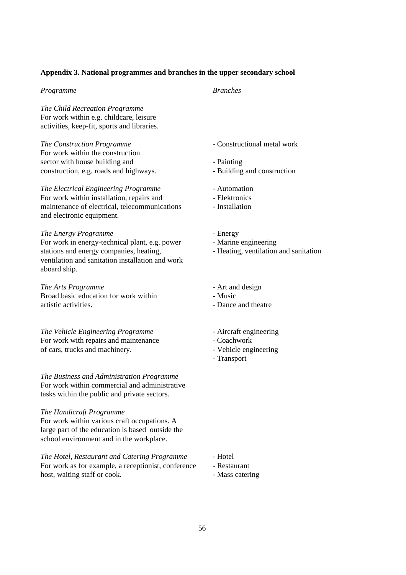#### **Appendix 3. National programmes and branches in the upper secondary school**

#### *Programme Branches*

*The Child Recreation Programme* For work within e.g. childcare, leisure activities, keep-fit, sports and libraries.

*The Construction Programme* - Constructional metal work For work within the construction sector with house building and - Painting construction, e.g. roads and highways. - Building and construction

#### *The Electrical Engineering Programme* - Automation

For work within installation, repairs and <br>maintenance of electrical, telecommunications - Installation maintenance of electrical, telecommunications and electronic equipment.

#### *The Energy Programme* - Energy

For work in energy-technical plant, e.g. power - Marine engineering stations and energy companies, heating, entitled in the Heating, ventilation and sanitation ventilation and sanitation installation and work aboard ship.

*The Arts Programme* - Art and design Broad basic education for work within - Music artistic activities.  $\blacksquare$ 

*The Vehicle Engineering Programme* - Aircraft engineering For work with repairs and maintenance - Coachwork of cars, trucks and machinery.  $\blacksquare$ 

*The Business and Administration Programme* For work within commercial and administrative tasks within the public and private sectors.

#### *The Handicraft Programme*

For work within various craft occupations. A large part of the education is based outside the school environment and in the workplace.

*The Hotel, Restaurant and Catering Programme* - Hotel For work as for example, a receptionist, conference - Restaurant host, waiting staff or cook. - Mass catering

- 
- 
- 
- 
- 
- 
- 
- 
- 
- 
- 
- 
- 
- 
- 
- Transport

- 
- 
-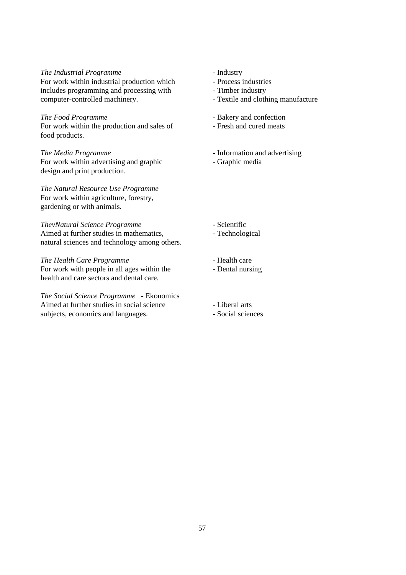#### *The Industrial Programme* - Industry

For work within industrial production which - Process industries includes programming and processing with - Timber industry computer-controlled machinery. Textile and clothing manufacture

#### *The Food Programme*<br>
For work within the production and sales of **Figure 1** - Fresh and cured meats For work within the production and sales of food products.

*The Media Programme* **- Information and advertising** For work within advertising and graphic - Graphic media design and print production.

*The Natural Resource Use Programme* For work within agriculture, forestry, gardening or with animals.

#### *ThevNatural Science Programme* - Scientific

Aimed at further studies in mathematics, - Technological natural sciences and technology among others.

#### *The Health Care Programme* - Health care

For work with people in all ages within the - Dental nursing health and care sectors and dental care.

*The Social Science Programme* - Ekonomics Aimed at further studies in social science - Liberal arts subjects, economics and languages. - Social sciences

- 
- 
- 
- 
- 
- 
- 
- 
- 

- 
- 
- 
-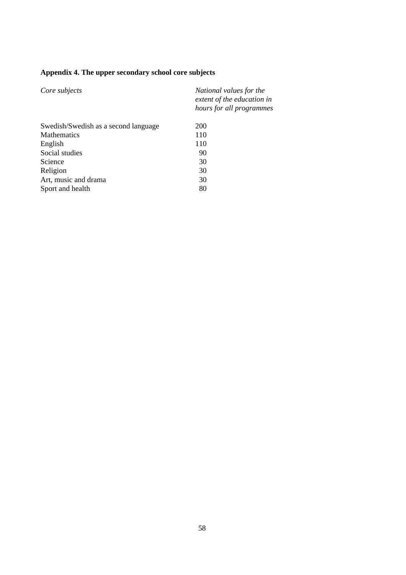## **Appendix 4. The upper secondary school core subjects**

| Core subjects                        | National values for the<br>extent of the education in<br>hours for all programmes |
|--------------------------------------|-----------------------------------------------------------------------------------|
| Swedish/Swedish as a second language | 200                                                                               |
| <b>Mathematics</b>                   | 110                                                                               |
| English                              | 110                                                                               |
| Social studies                       | 90                                                                                |
| Science                              | 30                                                                                |
| Religion                             | 30                                                                                |
| Art, music and drama                 | 30                                                                                |
| Sport and health                     | 80                                                                                |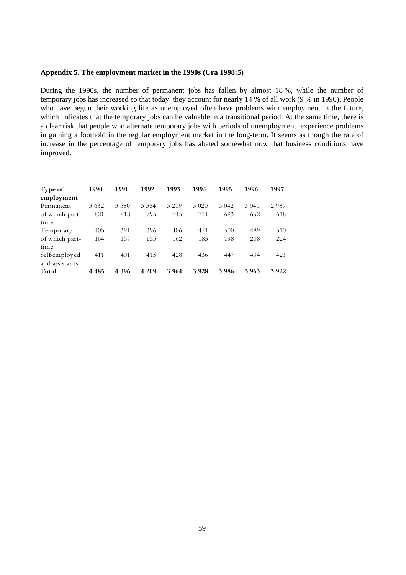#### **Appendix 5. The employment market in the 1990s (Ura 1998:5)**

During the 1990s, the number of permanent jobs has fallen by almost 18 %, while the number of temporary jobs has increased so that today they account for nearly 14 % of all work (9 % in 1990). People who have begun their working life as unemployed often have problems with employment in the future, which indicates that the temporary jobs can be valuable in a transitional period. At the same time, there is a clear risk that people who alternate temporary jobs with periods of unemployment experience problems in gaining a foothold in the regular employment market in the long-term. It seems as though the rate of increase in the percentage of temporary jobs has abated somewhat now that business conditions have improved.

| Type of<br>employment | 1990    | 1991    | 1992    | 1993    | 1994    | 1995    | 1996    | 1997    |
|-----------------------|---------|---------|---------|---------|---------|---------|---------|---------|
| Permanent             | 3 6 3 2 | 3 5 8 0 | 3 3 8 4 | 3 2 1 9 | 3 0 2 0 | 3 0 4 2 | 3 0 4 0 | 2989    |
| of which part-        | 821     | 818     | 795     | 745     | 711     | 693     | 652     | 618     |
| time                  |         |         |         |         |         |         |         |         |
| Temporary             | 405     | 391     | 396     | 406     | 471     | 500     | 489     | 510     |
| of which part-        | 164     | 157     | 155     | 162     | 185     | 198     | 208     | 224     |
| time                  |         |         |         |         |         |         |         |         |
| Self-employed         | 411     | 401     | 415     | 428     | 436     | 447     | 434     | 423     |
| and assistants        |         |         |         |         |         |         |         |         |
| Total                 | 4 4 8 5 | 4 3 9 6 | 4 209   | 3 9 6 4 | 3928    | 3986    | 3 963   | 3 9 2 2 |